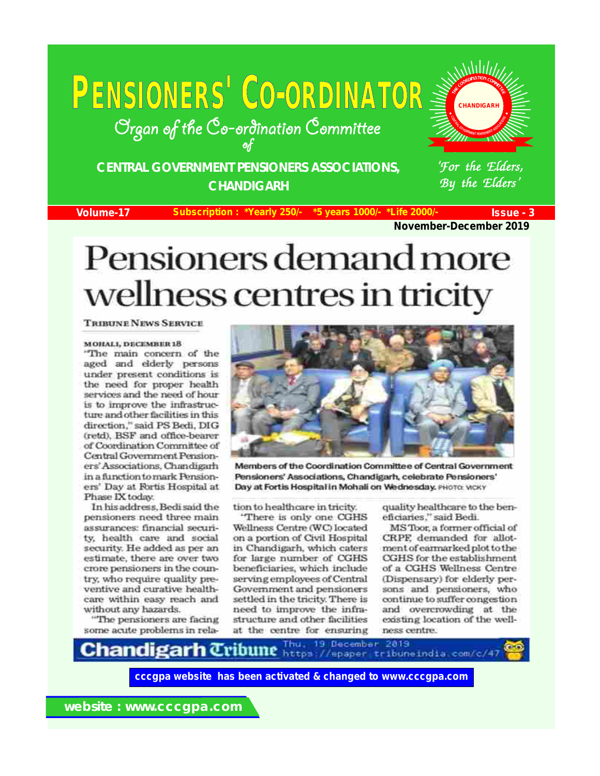# **<sup>P</sup>ENSIONERS' CO-ORDINATOR**

Organ of the Co-ordination Committee

**CENTRAL GOVERNMENT PENSIONERS ASSOCIATIONS, CHANDIGARH**

**Volume-17 Subscription : \*Yearly 250/- \*5 years 1000/- \*Life 2000/- Issue - 3**

By the Elders'

 $\mathcal{C}$ **N TR**

**A**

**VE**

**RN**

**CHANDIGARH**

'For the Elders,

**Adduly** 

**<sup>I</sup>O**

**IA SO**

**A**

**RS NE T PENSIO**

**November-December 2019**

## Pensioners demand more wellness centres in tricity

#### **TRIBUNE NEWS SERVICE**

#### **MOHALI, DECEMBER 18**

"The main concern of the aged and elderly persons under present conditions is the need for proper health services and the need of hour is to improve the infrastructure and other facilities in this direction," said PS Bedi, DIG (retd), BSF and office-bearer of Coordination Committee of Central Government Pensioners' Associations, Chandigarh in a function to mark Pensioners' Day at Fortis Hospital at Phase IX today.

In his address, Bedi said the pensioners need three main assurances: financial security, health care and social security. He added as per an estimate, there are over two crore pensioners in the country, who require quality preventive and curative healthcare within easy reach and without any hazards.

"The pensioners are facing some acute problems in rela-



Members of the Coordination Committee of Central Government Pensioners' Associations, Chandigarh, celebrate Pensioners' Day at Fortis Hospital in Mohali on Wednesday, PHOTO: WCKY

tion to healthcare in tricity.

'There is only one CGHS Wellness Centre (WC) located on a portion of Civil Hospital in Chandigarh, which caters for large number of CGHS beneficiaries, which include serving employees of Central Government and pensioners settled in the tricity. There is need to improve the infrastructure and other facilities at the centre for ensuring

quality healthcare to the beneficiaries," said Bedi.

MS Toor, a former official of CRPF, demanded for allotment of earmarked plot to the CGHS for the establishment of a CGHS Wellness Centre (Dispensary) for elderly persons and pensioners, who continue to suffer congestion and overcrowding at the existing location of the wellness centre.

Thu, 19 December 2819 C**handigarh** Cribune https://epaper.tribuneindia.com/c/47

**cccgpa website has been activated & changed to www.cccgpa.com**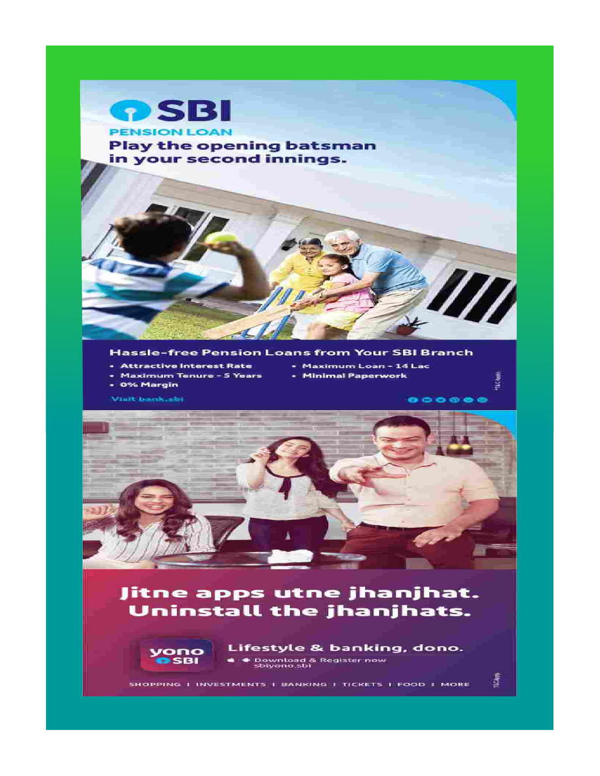

- 
- Maximum Loan 14 Lac
- Maximum Tenure 5 Years
- Minimal Paperwork
- 0% Margin

Visit bank.sbi

 $000000$ 

The light

IXCApp)



## Jitne apps utne jhanjhat. Uninstall the jhanjhats.



Lifestyle & banking, dono. Download & Register now<br>sbiyono.sbi

SHOPPING I INVESTMENTS I BANKING I TICKETS I FOOD I MORE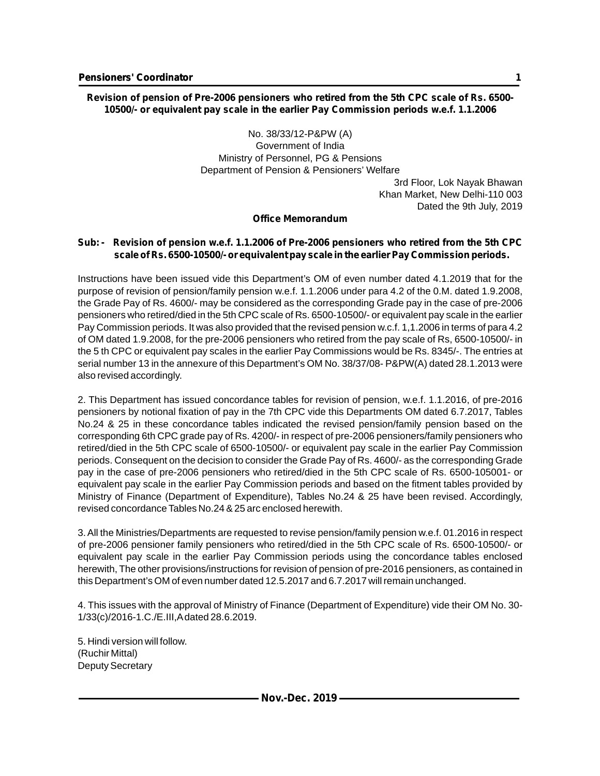#### **Revision of pension of Pre-2006 pensioners who retired from the 5th CPC scale of Rs. 6500- 10500/- or equivalent pay scale in the earlier Pay Commission periods w.e.f. 1.1.2006**

No. 38/33/12-P&PW (A) Government of India Ministry of Personnel, PG & Pensions Department of Pension & Pensioners' Welfare

3rd Floor, Lok Nayak Bhawan Khan Market, New Delhi-110 003 Dated the 9th July, 2019

#### **Office Memorandum**

#### **Sub: - Revision of pension w.e.f. 1.1.2006 of Pre-2006 pensioners who retired from the 5th CPC scale of Rs. 6500-10500/- or equivalent pay scale in the earlier Pay Commission periods.**

Instructions have been issued vide this Department's OM of even number dated 4.1.2019 that for the purpose of revision of pension/family pension w.e.f. 1.1.2006 under para 4.2 of the 0.M. dated 1.9.2008, the Grade Pay of Rs. 4600/- may be considered as the corresponding Grade pay in the case of pre-2006 pensioners who retired/died in the 5th CPC scale of Rs. 6500-10500/- or equivalent pay scale in the earlier Pay Commission periods. It was also provided that the revised pension w.c.f. 1,1.2006 in terms of para 4.2 of OM dated 1.9.2008, for the pre-2006 pensioners who retired from the pay scale of Rs, 6500-10500/- in the 5 th CPC or equivalent pay scales in the earlier Pay Commissions would be Rs. 8345/-. The entries at serial number 13 in the annexure of this Department's OM No. 38/37/08- P&PW(A) dated 28.1.2013 were also revised accordingly.

2. This Department has issued concordance tables for revision of pension, w.e.f. 1.1.2016, of pre-2016 pensioners by notional fixation of pay in the 7th CPC vide this Departments OM dated 6.7.2017, Tables No.24 & 25 in these concordance tables indicated the revised pension/family pension based on the corresponding 6th CPC grade pay of Rs. 4200/- in respect of pre-2006 pensioners/family pensioners who retired/died in the 5th CPC scale of 6500-10500/- or equivalent pay scale in the earlier Pay Commission periods. Consequent on the decision to consider the Grade Pay of Rs. 4600/- as the corresponding Grade pay in the case of pre-2006 pensioners who retired/died in the 5th CPC scale of Rs. 6500-105001- or equivalent pay scale in the earlier Pay Commission periods and based on the fitment tables provided by Ministry of Finance (Department of Expenditure), Tables No.24 & 25 have been revised. Accordingly, revised concordance Tables No.24 & 25 arc enclosed herewith.

3. All the Ministries/Departments are requested to revise pension/family pension w.e.f. 01.2016 in respect of pre-2006 pensioner family pensioners who retired/died in the 5th CPC scale of Rs. 6500-10500/- or equivalent pay scale in the earlier Pay Commission periods using the concordance tables enclosed herewith, The other provisions/instructions for revision of pension of pre-2016 pensioners, as contained in this Department's OM of even number dated 12.5.2017 and 6.7.2017 will remain unchanged.

4. This issues with the approval of Ministry of Finance (Department of Expenditure) vide their OM No. 30- 1/33(c)/2016-1.C./E.III,Adated 28.6.2019.

5. Hindi version will follow. (Ruchir Mittal) Deputy Secretary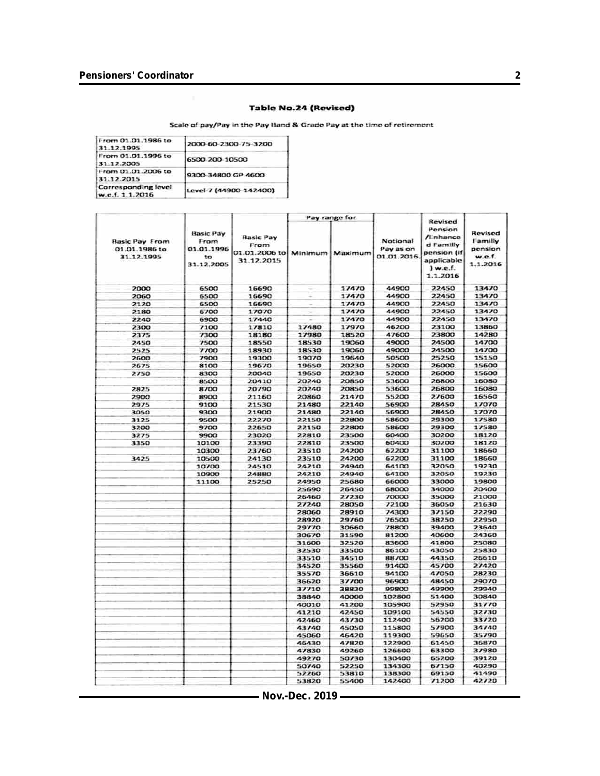#### **Table No.24 (Revised)**

Scale of pay/Pay in the Pay Band & Grade Pay at the time of retirement

| From 01.01.1986 to<br>31.12.1995       | 2000-60-2300-75-3200   |
|----------------------------------------|------------------------|
| From 01.01.1996 to<br>31.12.2005       | 6500-200-10500         |
| From 01.01.2006 to<br>31.12.2015       | 9300-34800 GP-4600     |
| Corresponding level<br>w.e.f. 1.1.2016 | Level 7 (44900-142400) |

|                                                      | Pay range for                                              |                                                         |         | Revised |                                      |                                                                                          |                                                     |
|------------------------------------------------------|------------------------------------------------------------|---------------------------------------------------------|---------|---------|--------------------------------------|------------------------------------------------------------------------------------------|-----------------------------------------------------|
| <b>Basic Pay From</b><br>01.01.1986 to<br>31.12.1995 | <b>Basic Pay</b><br>From<br>01.01.1996<br>to<br>31.12.2005 | <b>Basic Pay</b><br>Fram<br>01.01.2006 to<br>31.12.2015 | Minimum | Maximum | Notional<br>Pay as on<br>01.01.2016. | Pension<br>/Linhance<br>d Familly<br>pension (if<br>applicable<br>$)$ w.e.f.<br>1.1.2016 | Revised<br>Familly<br>pension<br>w.e.f.<br>1.1.2016 |
| 2000                                                 | 6500                                                       | 16690                                                   |         | 17470   | 44900                                | 22450                                                                                    | 13470                                               |
| 2060                                                 | 6500                                                       | 16690                                                   |         | 17470   | 44900                                | 22450                                                                                    | 13470                                               |
| 2120                                                 | 6500                                                       | 16690                                                   |         | 17470   | 44900                                | 22450                                                                                    | 13470                                               |
| 2180                                                 | 6700                                                       | 17070                                                   |         | 17470   | 44900                                | 22450                                                                                    | 13470                                               |
| 2240                                                 | 6900                                                       | 17440                                                   |         | 17470   | 44900                                | 22450                                                                                    | 13470                                               |
| 2300                                                 | 7100                                                       | 17810                                                   | 17480   | 17970   | 46200                                | 23100                                                                                    | 13860                                               |
| 2375                                                 | 7300                                                       | 18180                                                   | 17980   | 18520   | 47600                                | 23800                                                                                    | 14280                                               |
| 2450                                                 | 7500                                                       | 18550                                                   | 18530   | 19060   | 49000                                | 24500                                                                                    | 14700                                               |
| 2525                                                 | 7700                                                       | 18930                                                   | 18530   | 19060   | 49000                                | 24500                                                                                    | 14700                                               |
| 2600                                                 | 7900                                                       | 19300                                                   | 19070   | 19640   | 50500                                | 25250                                                                                    | 15150                                               |
| 2675                                                 | 8100                                                       | 19670                                                   | 19650   | 20230   | 52000                                | 26000                                                                                    | 15600                                               |
| 2750                                                 | 8300                                                       | 20040                                                   | 19650   | 20230   | 52000                                | 26000                                                                                    | 15600                                               |
|                                                      | 8500                                                       | 20410                                                   | 20240   | 20850   | 53600                                | 26800                                                                                    | 16080                                               |
| 2825                                                 | 8700                                                       | 20790                                                   | 20240   | 20850   | 53600                                | 26800                                                                                    | 16080                                               |
| 2900                                                 | 8900                                                       | 21160                                                   | 20860   | 21470   | 55200                                | 27600                                                                                    | 16560                                               |
| 2975                                                 | 9100                                                       | 21530                                                   | 21480   | 22140   | 56900                                | 28450                                                                                    | 17070                                               |
| 3050                                                 | 9300                                                       | 21900                                                   | 21480   | 22140   | 56900                                | 28450                                                                                    | 17070                                               |
| 3125                                                 | 9500                                                       | 22270                                                   | 22150   | 22800   | 58600                                | 29300                                                                                    | 17580                                               |
| 3200                                                 | 9700                                                       | 22650                                                   | 22150   | 22800   | 58600                                | 29300                                                                                    | 17580                                               |
| 3275                                                 | 9900                                                       | 23020                                                   | 22810   | 23500   | 60400                                | 30200                                                                                    | 18120                                               |
| 3350                                                 | 10100                                                      | 23390                                                   | 22810   | 23500   | 60400                                | 30200                                                                                    | 18120                                               |
|                                                      | 10300                                                      | 23760                                                   | 23510   | 24200   | 62200                                | 31100                                                                                    | 18660                                               |
| 3425                                                 | 10500                                                      | 24130                                                   | 23510   | 24200   | 62200                                | 31100                                                                                    | 18660                                               |
|                                                      | 10700                                                      | 24510                                                   | 24210   | 24940   | 64100                                | 32050                                                                                    | 19230                                               |
|                                                      | 10900                                                      | 24880                                                   | 24210   | 24940   | 64100                                | 32050                                                                                    | 19230                                               |
|                                                      | 11100                                                      | 25250                                                   | 24950   | 25680   | 66000                                | 33000                                                                                    | 19800                                               |
|                                                      |                                                            |                                                         | 25690   | 26450   | 68000                                | 34000                                                                                    | 20400                                               |
|                                                      |                                                            |                                                         | 26460   | 27230   | 70000                                | 35000                                                                                    | 21000                                               |
|                                                      |                                                            |                                                         | 27240   | 28050   | 72100                                | 36050                                                                                    | 21630                                               |
|                                                      |                                                            |                                                         | 28060   | 28910   | 74300                                | 37150                                                                                    | 22290                                               |
|                                                      |                                                            |                                                         | 28920   | 29760   | 76500                                | 38250                                                                                    | 22950                                               |
|                                                      |                                                            |                                                         | 29770   | 30660   | 78800                                | 39400                                                                                    | 23640                                               |
|                                                      |                                                            |                                                         | 30670   | 31590   | 81200                                | 40600                                                                                    | 24360                                               |
|                                                      |                                                            |                                                         | 31600   | 32520   | 83600                                | 41800                                                                                    | 25080                                               |
|                                                      |                                                            |                                                         | 32530   | 33500   | 86100                                | 43050                                                                                    | 25830                                               |
|                                                      |                                                            |                                                         | 33510   | 34510   | 88/00                                | 44350                                                                                    | 26610                                               |
|                                                      |                                                            |                                                         | 34520   | 35560   | 91400                                | 45/00                                                                                    | 27420                                               |
|                                                      |                                                            |                                                         | 35570   | 36610   | 94100                                | 47050                                                                                    | 28230                                               |
|                                                      |                                                            |                                                         | 36620   | 37700   | 96900                                | 48450                                                                                    | 29070                                               |
|                                                      |                                                            |                                                         | 37710   | 38830   | 99800                                | 49900                                                                                    | 29940                                               |
|                                                      |                                                            |                                                         | 38840   | 40000   | 102800                               | 51400                                                                                    | 30840                                               |
|                                                      |                                                            |                                                         | 40010   | 41200   | 105900                               | 52950                                                                                    | 31770                                               |
|                                                      |                                                            |                                                         | 41210   | 42450   | 109100                               | 54550                                                                                    | 32730                                               |
|                                                      |                                                            |                                                         | 42460   | 43730   | 112400                               | 56200                                                                                    | 33720                                               |
|                                                      |                                                            |                                                         | 43740   | 45050   | 115800                               | 57900                                                                                    | 34740                                               |
|                                                      |                                                            |                                                         | 45060   | 46420   | 119300                               | 59650                                                                                    | 35790                                               |
|                                                      |                                                            |                                                         | 46430   | 47820   | 122900                               | 61450                                                                                    | 36870                                               |
|                                                      |                                                            |                                                         | 47830   | 49260   | 126600                               | 63300                                                                                    | 37980                                               |
|                                                      |                                                            |                                                         | 49270   | 50730   | 130400                               | 65200                                                                                    | 39120                                               |
|                                                      |                                                            |                                                         | 50740   | 52250   | 134300                               | 67150                                                                                    | 40290                                               |
|                                                      |                                                            |                                                         | 52260   | 53810   | 138300                               | 69150                                                                                    | 41490                                               |
|                                                      |                                                            |                                                         | 53820   | 55400   | 142400                               | /1200                                                                                    | 42720                                               |
|                                                      |                                                            |                                                         |         |         |                                      |                                                                                          |                                                     |

**Nov.-Dec. 2019**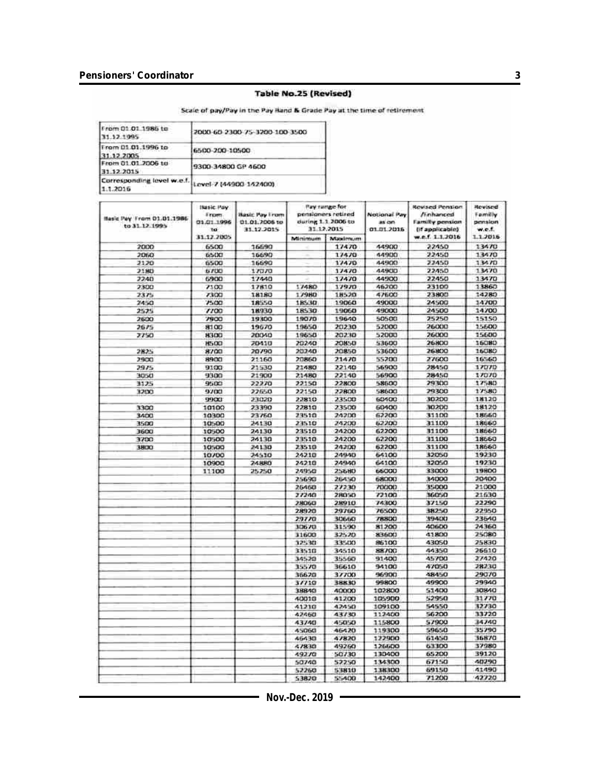#### **Table No.25 (Revised)**

Scale of pay/Pay in the Pay Band & Grade Pay at the time of retirement

| rom 01.01.1986 to<br>12.1995         | 2000-60-2300-75-3200-100-3500 |
|--------------------------------------|-------------------------------|
| rom 01.01.1996 to<br>1:12.2005       | 6500-200-10500                |
| rom 01.01.2006 to<br>31 12 2015      | 9300-34800 GP 4600            |
| Corresponding level w.e.f.<br>1.2016 | Lovel 7 (44900 142400)        |

| Basic Pay From 01.01.1986<br>to 31.12.1995 | <b>Basic Pay</b><br>From<br>03.01.1996<br>to | <b>Basic Pay From</b><br>01.01.2005 to<br>31.12.2015 | <b><i>Pay rumpe for</i></b><br>pensioners retired<br>during 1.1 2006 to<br>31.12.2015 |              | Notional Pay<br>as on<br>01.01.2016 | <b>Revised Pension</b><br>/i-nhanced<br><b>Family pension</b><br>(if applicable) | Revised<br>Family<br>pension<br>w.e.f. |
|--------------------------------------------|----------------------------------------------|------------------------------------------------------|---------------------------------------------------------------------------------------|--------------|-------------------------------------|----------------------------------------------------------------------------------|----------------------------------------|
|                                            | 31.12.2005                                   |                                                      | Minimum                                                                               | Maximum      |                                     | w.e.f. 1.1.2016                                                                  | 1.1.2016                               |
| 2000                                       | 6500                                         | 16690                                                |                                                                                       | 17470        | 44900                               | 22450                                                                            | 13470                                  |
| 2050                                       | 6500                                         | 16690                                                |                                                                                       | 17470        | 44900                               | 22450                                                                            | 13470                                  |
| 2120                                       | 6500                                         | 16690                                                |                                                                                       | 17470        | 44900                               | 22450                                                                            | 13470                                  |
| 2180                                       | 5700                                         | 17070                                                |                                                                                       | 17470        | 44900                               | 22450                                                                            | 13470                                  |
| 2240                                       | 6900                                         | 17440                                                |                                                                                       | 17470        | 44900                               | 22450                                                                            | 13470                                  |
| 2300                                       | 7100                                         | 17810                                                | 17480                                                                                 | 17970        | 46200                               | 23100                                                                            | 13860                                  |
| 2375                                       | 7300                                         | 18180                                                | 17980                                                                                 | 18520        | <b>47600</b>                        | 23800                                                                            | 14280                                  |
| 2450                                       | 7500                                         | 18550                                                | 18530                                                                                 | 19060        | <b>49000</b>                        | 24500                                                                            | 14700                                  |
| 2525                                       | 7700                                         | 18930                                                | 18530                                                                                 | 19060        | 49000                               | 24500                                                                            | 14700                                  |
| 2600                                       | 7900                                         | 19300                                                | 19070                                                                                 | 19640        | 50500                               | 25250                                                                            | 15150                                  |
| 2675                                       | 8100                                         | 19670                                                | 19650                                                                                 | 20230        | 52000                               | <b>26000</b>                                                                     | 15600                                  |
| 7750                                       | 8300                                         | 20040                                                | 19650                                                                                 | 20230        | 52000                               | 26000                                                                            | 15600                                  |
|                                            | <b>H500</b>                                  | 20410                                                | 20240                                                                                 | 20850        | 53600                               | <b>26800</b>                                                                     | 16080                                  |
| 2825                                       | 8700                                         | 20790                                                | 20240                                                                                 | 20850        | 53600                               | 26800                                                                            | 15080                                  |
| 2900                                       | 8900                                         | 21160                                                | 20860                                                                                 | 21470        | 55200                               | 27600                                                                            | 16560                                  |
| 2975                                       | 9100                                         | 21530                                                | 21480                                                                                 | 22140        | 56900                               | 28450                                                                            | 17070                                  |
| 3050                                       | 9300                                         | 21900                                                | 21480                                                                                 | 22140        | 56900                               | 28450                                                                            | 17070                                  |
| 3125                                       | 9500                                         | 22270                                                | 22150                                                                                 | 22800        | 58500                               | 29300                                                                            | 17580                                  |
| 3200                                       | 9700                                         | 22650                                                | 22150                                                                                 | 22800        | 58600                               | 29300                                                                            | 17580                                  |
|                                            | 9900                                         | 23020                                                | 22810                                                                                 | 23500        | <b>60400</b>                        | 30200                                                                            | 18120                                  |
| 3300                                       | 10100                                        | 23390                                                | 22810                                                                                 | 23500        | 60400                               | 30200                                                                            | 18120                                  |
| 3400                                       | 10300                                        | 23760                                                | 29510                                                                                 | 2/12/33      | 62200                               | 31100                                                                            | 18660                                  |
| 3500                                       | 10500                                        | 24130                                                | 23510                                                                                 | 24200        | 62200                               | 31100                                                                            | 18660                                  |
| 3600                                       | 10500                                        | 24130                                                | 23510                                                                                 | 24200        | 62200                               | 31100                                                                            | 18560                                  |
| 3700                                       | 10500                                        | 24130                                                | 23510                                                                                 | 24200        | 62200                               | 31100                                                                            | 18560                                  |
| 3800                                       | 10500                                        | 24130                                                | 23510                                                                                 | 24200        | 62200                               | 31100                                                                            | 18660                                  |
|                                            | 10/00                                        | 24510                                                | 24210                                                                                 | 24940        | 64100                               | 32050                                                                            | 19230                                  |
|                                            | 10900                                        | 24880                                                | 24210                                                                                 | 24940        | 64100                               | 32050                                                                            | 19230                                  |
|                                            |                                              | 25250                                                | 24950                                                                                 | <b>256BO</b> | 66000                               | 33000                                                                            | 19800                                  |
|                                            | 11100                                        |                                                      | 25690                                                                                 | 26450        | 68000                               | 34000                                                                            | 20400                                  |
|                                            |                                              |                                                      |                                                                                       | 27230        | 70000                               | 35000                                                                            | 21/300                                 |
|                                            |                                              |                                                      | 26460                                                                                 |              |                                     |                                                                                  |                                        |
|                                            |                                              |                                                      | 27240                                                                                 | 28050        | 72100                               | 36050                                                                            | 21630                                  |
|                                            |                                              |                                                      | 28060                                                                                 | 28910        | 74300                               | 37150                                                                            | 22290<br>22950                         |
|                                            |                                              |                                                      | 28920                                                                                 | 29760        | 76500<br>78800                      | 38250<br>39400                                                                   | 23540                                  |
|                                            |                                              |                                                      | 29770                                                                                 | 30660        |                                     |                                                                                  | 24360                                  |
|                                            |                                              |                                                      | 30670                                                                                 | 31590        | 81200                               | 40600                                                                            |                                        |
|                                            |                                              |                                                      | 31600                                                                                 | 32520        | 83600                               | 41800                                                                            | 25080                                  |
|                                            |                                              |                                                      | 32530                                                                                 | 33500        | 96100                               | 43050                                                                            | 25830                                  |
|                                            |                                              |                                                      | 33510                                                                                 | 34510        | 88700                               | 44350<br>45700                                                                   | 26510<br>27420                         |
|                                            |                                              |                                                      | 34520                                                                                 | 35560        | 91400                               |                                                                                  |                                        |
|                                            |                                              |                                                      | 35570                                                                                 | 36610        | 94100                               | 47050                                                                            | 28230                                  |
|                                            |                                              |                                                      | 36620                                                                                 | 37700        | 96900                               | 48450                                                                            | 29070                                  |
|                                            |                                              |                                                      | 3//10                                                                                 | 38830        | 99800                               | 49900                                                                            | 29940                                  |
|                                            |                                              |                                                      | 38840                                                                                 | 40000        | 102800                              | 51400                                                                            | 30840                                  |
|                                            |                                              |                                                      | 40010                                                                                 | 41200        | 105900                              | 52950                                                                            | 31770                                  |
|                                            |                                              |                                                      | 41210                                                                                 | 42450        | 109100                              | 54550                                                                            | 32730                                  |
|                                            |                                              |                                                      | 42450                                                                                 | 43730        | 112400                              | 56200                                                                            | 33720                                  |
|                                            |                                              |                                                      | 43740                                                                                 | 45050        | 115800                              | 57900                                                                            | 34740                                  |
|                                            |                                              |                                                      | 45060                                                                                 | 46420        | 119300                              | 59650                                                                            | 35790                                  |
|                                            |                                              |                                                      | 46430                                                                                 | 47820        | 122900                              | 61450                                                                            | 36870                                  |
|                                            |                                              |                                                      | 47830                                                                                 | 49260        | 126600                              | 63300                                                                            | 37980                                  |
|                                            |                                              |                                                      | 49270                                                                                 | 50730        | 130400                              | 65200                                                                            | 39120                                  |
|                                            |                                              |                                                      | 50740                                                                                 | 52250        | 134300                              | 67150                                                                            | 40290                                  |
|                                            |                                              |                                                      | 52260                                                                                 | 53810        | 138300                              | 69150                                                                            | 41490                                  |
|                                            |                                              |                                                      | 53820                                                                                 | 55400        | 142400                              | 71200                                                                            | 42720                                  |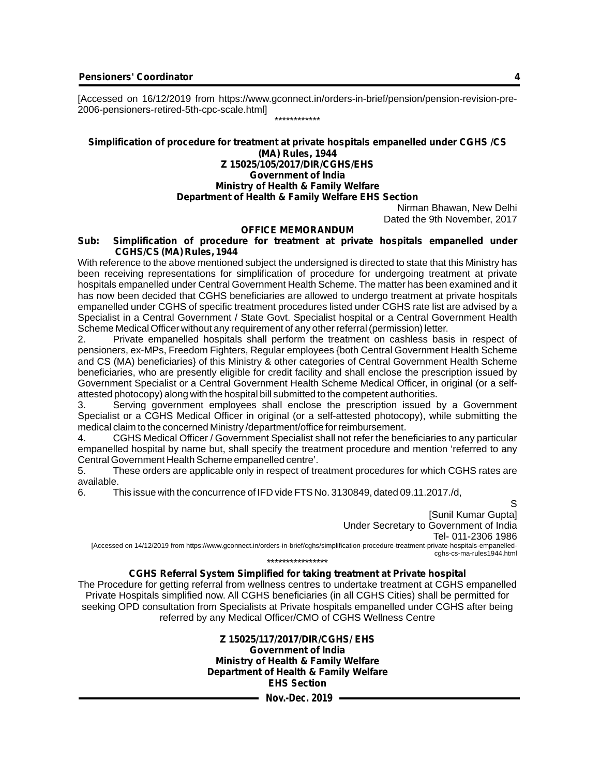[Accessed on 16/12/2019 from https://www.gconnect.in/orders-in-brief/pension/pension-revision-pre-2006-pensioners-retired-5th-cpc-scale.html] \*\*\*\*\*\*\*\*\*\*\*\*

#### **Simplification of procedure for treatment at private hospitals empanelled under CGHS /CS (MA) Rules, 1944 Z 15025/105/2017/DIR/CGHS/EHS Government of India Ministry of Health & Family Welfare**

#### **Department of Health & Family Welfare EHS Section**

Nirman Bhawan, New Delhi Dated the 9th November, 2017

#### **OFFICE MEMORANDUM**

#### **Sub: Simplification of procedure for treatment at private hospitals empanelled under CGHS/CS (MA) Rules, 1944**

With reference to the above mentioned subject the undersigned is directed to state that this Ministry has been receiving representations for simplification of procedure for undergoing treatment at private hospitals empanelled under Central Government Health Scheme. The matter has been examined and it has now been decided that CGHS beneficiaries are allowed to undergo treatment at private hospitals empanelled under CGHS of specific treatment procedures listed under CGHS rate list are advised by a Specialist in a Central Government / State Govt. Specialist hospital or a Central Government Health Scheme Medical Officer without any requirement of any other referral (permission) letter.

2. Private empanelled hospitals shall perform the treatment on cashless basis in respect of pensioners, ex-MPs, Freedom Fighters, Regular employees {both Central Government Health Scheme and CS (MA) beneficiaries} of this Ministry & other categories of Central Government Health Scheme beneficiaries, who are presently eligible for credit facility and shall enclose the prescription issued by Government Specialist or a Central Government Health Scheme Medical Officer, in original (or a selfattested photocopy) along with the hospital bill submitted to the competent authorities.

3. Serving government employees shall enclose the prescription issued by a Government Specialist or a CGHS Medical Officer in original (or a self-attested photocopy), while submitting the medical claim to the concerned Ministry /department/office for reimbursement.

4. CGHS Medical Officer / Government Specialist shall not refer the beneficiaries to any particular empanelled hospital by name but, shall specify the treatment procedure and mention 'referred to any Central Government Health Scheme empanelled centre'.

5. These orders are applicable only in respect of treatment procedures for which CGHS rates are available.<br>6. Tl

6. This issue with the concurrence of IFD vide FTS No. 3130849, dated 09.11.2017. /d,

S [Sunil Kumar Gupta] Under Secretary to Government of India Tel- 011-2306 1986 [Accessed on 14/12/2019 from https://www.gconnect.in/orders-in-brief/cghs/simplification-procedure-treatment-private-hospitals-empanelledcghs-cs-ma-rules1944.html \*\*\*\*\*\*\*\*\*\*\*\*\*\*\*\*

#### **CGHS Referral System Simplified for taking treatment at Private hospital**

The Procedure for getting referral from wellness centres to undertake treatment at CGHS empanelled Private Hospitals simplified now. All CGHS beneficiaries (in all CGHS Cities) shall be permitted for seeking OPD consultation from Specialists at Private hospitals empanelled under CGHS after being referred by any Medical Officer/CMO of CGHS Wellness Centre

> **Z 15025/117/2017/DIR/CGHS/ EHS Government of India Ministry of Health & Family Welfare Department of Health & Family Welfare EHS Section**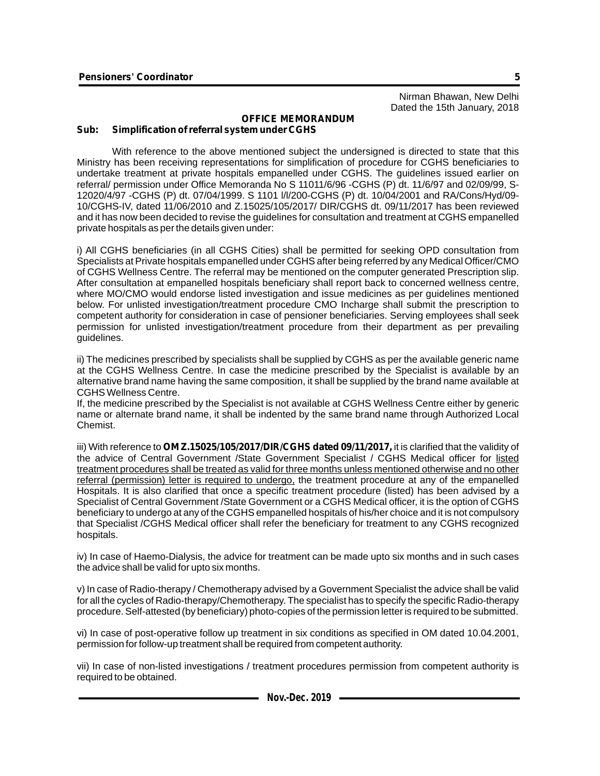#### **OFFICE MEMORANDUM Sub: Simplification of referral system under CGHS**

With reference to the above mentioned subject the undersigned is directed to state that this Ministry has been receiving representations for simplification of procedure for CGHS beneficiaries to undertake treatment at private hospitals empanelled under CGHS. The guidelines issued earlier on referral/ permission under Office Memoranda No S 11011/6/96 -CGHS (P) dt. 11/6/97 and 02/09/99, S-12020/4/97 -CGHS (P) dt. 07/04/1999. S 1101 l/l/200-CGHS (P) dt. 10/04/2001 and RA/Cons/Hyd/09- 10/CGHS-IV, dated 11/06/2010 and Z.15025/105/2017/ DIR/CGHS dt. 09/11/2017 has been reviewed and it has now been decided to revise the guidelines for consultation and treatment at CGHS empanelled private hospitals as per the details given under:

i) All CGHS beneficiaries (in all CGHS Cities) shall be permitted for seeking OPD consultation from Specialists at Private hospitals empanelled under CGHS after being referred by any Medical Officer/CMO of CGHS Wellness Centre. The referral may be mentioned on the computer generated Prescription slip. After consultation at empanelled hospitals beneficiary shall report back to concerned wellness centre, where MO/CMO would endorse listed investigation and issue medicines as per guidelines mentioned below. For unlisted investigation/treatment procedure CMO Incharge shall submit the prescription to competent authority for consideration in case of pensioner beneficiaries. Serving employees shall seek permission for unlisted investigation/treatment procedure from their department as per prevailing guidelines.

ii) The medicines prescribed by specialists shall be supplied by CGHS as per the available generic name at the CGHS Wellness Centre. In case the medicine prescribed by the Specialist is available by an alternative brand name having the same composition, it shall be supplied by the brand name available at CGHS Wellness Centre.

If, the medicine prescribed by the Specialist is not available at CGHS Wellness Centre either by generic name or alternate brand name, it shall be indented by the same brand name through Authorized Local **Chemist** 

iii) With reference to **OM Z.15025/105/2017/DIR/CGHS dated 09/11/2017,**it is clarified that the validity of the advice of Central Government /State Government Specialist / CGHS Medical officer for listed treatment procedures shall be treated as valid for three months unless mentioned otherwise and no other referral (permission) letter is required to undergo, the treatment procedure at any of the empanelled Hospitals. It is also clarified that once a specific treatment procedure (listed) has been advised by a Specialist of Central Government /State Government or a CGHS Medical officer, it is the option of CGHS beneficiary to undergo at any of the CGHS empanelled hospitals of his/her choice and it is not compulsory that Specialist /CGHS Medical officer shall refer the beneficiary for treatment to any CGHS recognized hospitals.

iv) In case of Haemo-Dialysis, the advice for treatment can be made upto six months and in such cases the advice shall be valid for upto six months.

v) In case of Radio-therapy / Chemotherapy advised by a Government Specialist the advice shall be valid for all the cycles of Radio-therapy/Chemotherapy. The specialist has to specify the specific Radio-therapy procedure. Self-attested (by beneficiary) photo-copies of the permission letter is required to be submitted.

vi) In case of post-operative follow up treatment in six conditions as specified in OM dated 10.04.2001, permission for follow-up treatment shall be required from competent authority.

vii) In case of non-listed investigations / treatment procedures permission from competent authority is required to be obtained.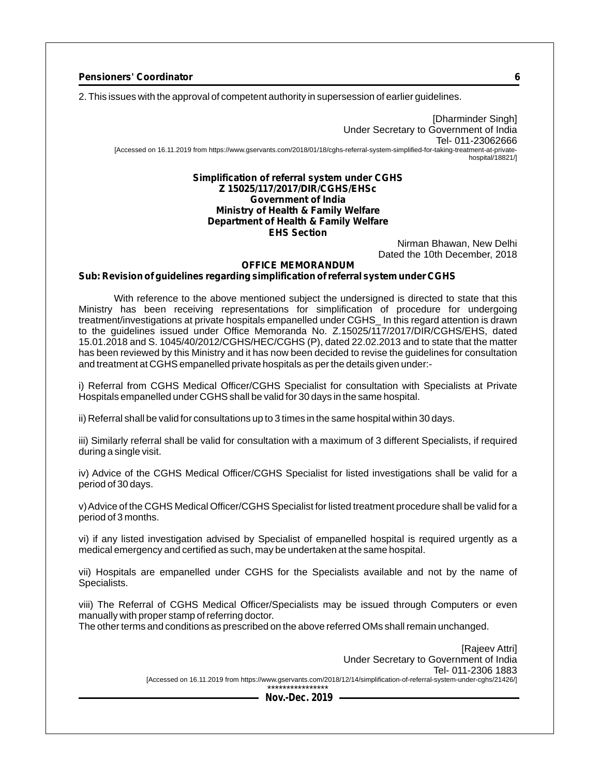2. This issues with the approval of competent authority in supersession of earlier guidelines.

[Dharminder Singh] Under Secretary to Government of India Tel- 011-23062666 [Accessed on 16.11.2019 from https://www.gservants.com/2018/01/18/cghs-referral-system-simplified-for-taking-treatment-at-privatehospital/18821/]

#### **Simplification of referral system under CGHS Z 15025/117/2017/DIR/CGHS/EHSc Government of India Ministry of Health & Family Welfare Department of Health & Family Welfare EHS Section**

Nirman Bhawan, New Delhi Dated the 10th December, 2018

#### **OFFICE MEMORANDUM**

#### **Sub: Revision of guidelines regarding simplification of referral system under CGHS**

With reference to the above mentioned subject the undersigned is directed to state that this Ministry has been receiving representations for simplification of procedure for undergoing treatment/investigations at private hospitals empanelled under CGHS\_ In this regard attention is drawn to the guidelines issued under Office Memoranda No. Z.15025/117/2017/DIR/CGHS/EHS, dated 15.01.2018 and S. 1045/40/2012/CGHS/HEC/CGHS (P), dated 22.02.2013 and to state that the matter has been reviewed by this Ministry and it has now been decided to revise the guidelines for consultation and treatment at CGHS empanelled private hospitals as per the details given under:-

i) Referral from CGHS Medical Officer/CGHS Specialist for consultation with Specialists at Private Hospitals empanelled under CGHS shall be valid for 30 days in the same hospital.

ii) Referral shall be valid for consultations up to 3 times in the same hospital within 30 days.

iii) Similarly referral shall be valid for consultation with a maximum of 3 different Specialists, if required during a single visit.

iv) Advice of the CGHS Medical Officer/CGHS Specialist for listed investigations shall be valid for a period of 30 days.

v) Advice of the CGHS Medical Officer/CGHS Specialist for listed treatment procedure shall be valid for a period of 3 months.

vi) if any listed investigation advised by Specialist of empanelled hospital is required urgently as a medical emergency and certified as such, may be undertaken at the same hospital.

vii) Hospitals are empanelled under CGHS for the Specialists available and not by the name of Specialists.

viii) The Referral of CGHS Medical Officer/Specialists may be issued through Computers or even manually with proper stamp of referring doctor.

The other terms and conditions as prescribed on the above referred OMs shall remain unchanged.

[Rajeev Attri] Under Secretary to Government of India Tel- 011-2306 1883 [Accessed on 16.11.2019 from https://www.gservants.com/2018/12/14/simplification-of-referral-system-under-cghs/21426/] \*\*\*\*\*\*\*\*\*\*\*\*\*\*\*\*

**Nov.-Dec. 2019**

**6**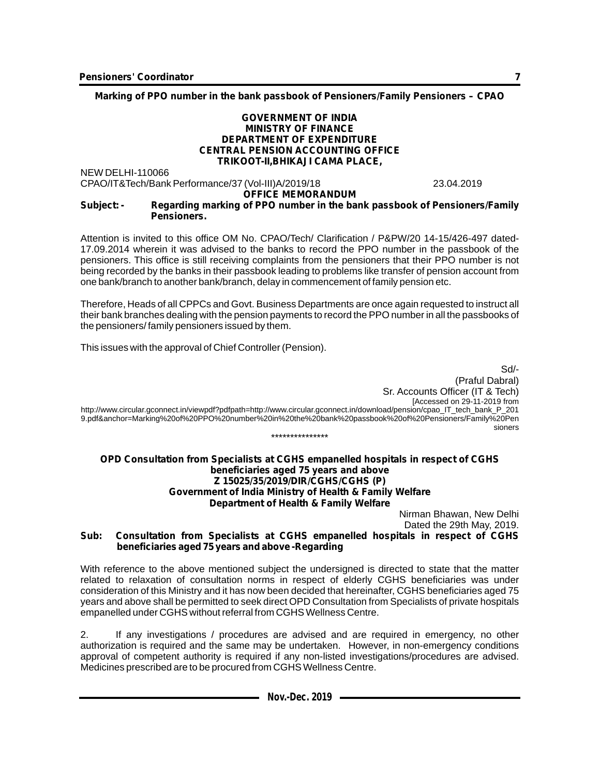**Marking of PPO number in the bank passbook of Pensioners/Family Pensioners – CPAO**

#### **GOVERNMENT OF INDIA MINISTRY OF FINANCE DEPARTMENT OF EXPENDITURE CENTRAL PENSION ACCOUNTING OFFICE TRIKOOT-II,BHIKAJI CAMA PLACE,**

NEW DELHI-110066 CPAO/IT&Tech/Bank Performance/37 (Vol-III)A/2019/18 23.04.2019

#### **OFFICE MEMORANDUM Subject: - Regarding marking of PPO number in the bank passbook of Pensioners/Family Pensioners.**

Attention is invited to this office OM No. CPAO/Tech/ Clarification / P&PW/20 14-15/426-497 dated-17.09.2014 wherein it was advised to the banks to record the PPO number in the passbook of the pensioners. This office is still receiving complaints from the pensioners that their PPO number is not being recorded by the banks in their passbook leading to problems like transfer of pension account from one bank/branch to another bank/branch, delay in commencement of family pension etc.

Therefore, Heads of all CPPCs and Govt. Business Departments are once again requested to instruct all their bank branches dealing with the pension payments to record the PPO number in all the passbooks of the pensioners/ family pensioners issued by them.

This issues with the approval of Chief Controller (Pension).

Sd/- (Praful Dabral) Sr. Accounts Officer (IT & Tech) [Accessed on 29-11-2019 from http://www.circular.gconnect.in/viewpdf?pdfpath=http://www.circular.gconnect.in/download/pension/cpao\_IT\_tech\_bank\_P\_201 9.pdf&anchor=Marking%20of%20PPO%20number%20in%20the%20bank%20passbook%20of%20Pensioners/Family%20Pen sioners \*\*\*\*\*\*\*\*\*\*\*\*\*\*\*

#### **OPD Consultation from Specialists at CGHS empanelled hospitals in respect of CGHS beneficiaries aged 75 years and above Z 15025/35/2019/DIR/CGHS/CGHS (P) Government of India Ministry of Health & Family Welfare Department of Health & Family Welfare**

Nirman Bhawan, New Delhi Dated the 29th May, 2019.

#### **Sub: Consultation from Specialists at CGHS empanelled hospitals in respect of CGHS beneficiaries aged 75 years and above -Regarding**

With reference to the above mentioned subject the undersigned is directed to state that the matter related to relaxation of consultation norms in respect of elderly CGHS beneficiaries was under consideration of this Ministry and it has now been decided that hereinafter, CGHS beneficiaries aged 75 years and above shall be permitted to seek direct OPD Consultation from Specialists of private hospitals empanelled under CGHS without referral from CGHS Wellness Centre.

2. If any investigations / procedures are advised and are required in emergency, no other authorization is required and the same may be undertaken. However, in non-emergency conditions approval of competent authority is required if any non-listed investigations/procedures are advised. Medicines prescribed are to be procured from CGHS Wellness Centre.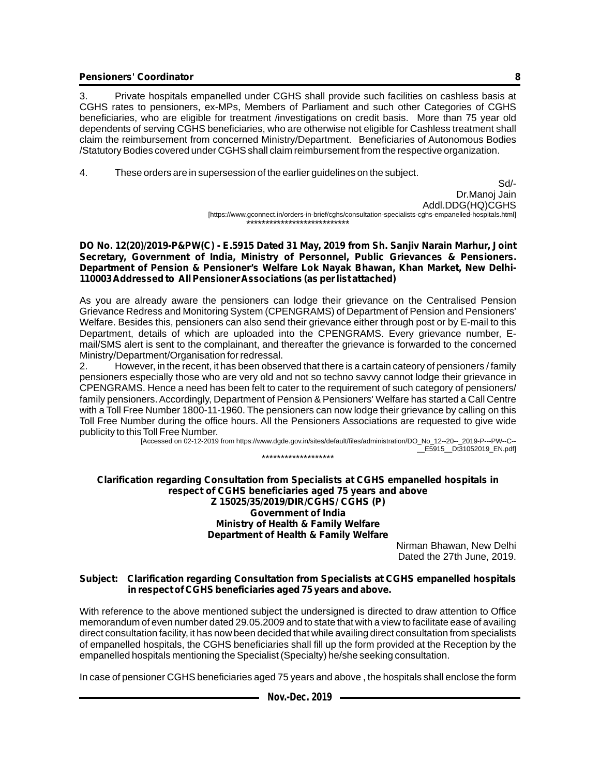3. Private hospitals empanelled under CGHS shall provide such facilities on cashless basis at CGHS rates to pensioners, ex-MPs, Members of Parliament and such other Categories of CGHS beneficiaries, who are eligible for treatment /investigations on credit basis. More than 75 year old dependents of serving CGHS beneficiaries, who are otherwise not eligible for Cashless treatment shall claim the reimbursement from concerned Ministry/Department. Beneficiaries of Autonomous Bodies /Statutory Bodies covered under CGHS shall claim reimbursement from the respective organization.

4. These orders are in supersession of the earlier guidelines on the subject.

Sd/- Dr.Manoj Jain Addl.DDG(HQ)CGHS [https://www.gconnect.in/orders-in-brief/cghs/consultation-specialists-cghs-empanelled-hospitals.html] \*\*\*\*\*\*\*\*\*\*\*\*\*\*\*\*\*\*\*\*\*\*\*\*\*

**DO No. 12(20)/2019-P&PW(C) - E.5915 Dated 31 May, 2019 from Sh. Sanjiv Narain Marhur, Joint Secretary, Government of India, Ministry of Personnel, Public Grievances & Pensioners. Department of Pension & Pensioner's Welfare Lok Nayak Bhawan, Khan Market, New Delhi-110003 Addressed to All Pensioner Associations (as per list attached)**

As you are already aware the pensioners can lodge their grievance on the Centralised Pension Grievance Redress and Monitoring System (CPENGRAMS) of Department of Pension and Pensioners' Welfare. Besides this, pensioners can also send their grievance either through post or by E-mail to this Department, details of which are uploaded into the CPENGRAMS. Every grievance number, Email/SMS alert is sent to the complainant, and thereafter the grievance is forwarded to the concerned Ministry/Department/Organisation for redressal.

2. However, in the recent, it has been observed that there is a cartain cateory of pensioners / family pensioners especially those who are very old and not so techno savvy cannot lodge their grievance in CPENGRAMS. Hence a need has been felt to cater to the requirement of such category of pensioners/ family pensioners. Accordingly, Department of Pension & Pensioners' Welfare has started a Call Centre with a Toll Free Number 1800-11-1960. The pensioners can now lodge their grievance by calling on this Toll Free Number during the office hours. All the Pensioners Associations are requested to give wide publicity to this Toll Free Number.

[Accessed on 02-12-2019 from https://www.dgde.gov.in/sites/default/files/administration/DO\_No\_12--20--\_2019-P---PW--C-- \_\_E5915\_\_Dt31052019\_EN.pdf] \*\*\*\*\*\*\*\*\*\*\*\*\*\*\*\*\*\*\*

**Clarification regarding Consultation from Specialists at CGHS empanelled hospitals in respect of CGHS beneficiaries aged 75 years and above Z 15025/35/2019/DIR/CGHS/ CGHS (P) Government of India Ministry of Health & Family Welfare Department of Health & Family Welfare**

Nirman Bhawan, New Delhi Dated the 27th June, 2019.

#### **Subject: Clarification regarding Consultation from Specialists at CGHS empanelled hospitals in respect of CGHS beneficiaries aged 75 years and above.**

With reference to the above mentioned subject the undersigned is directed to draw attention to Office memorandum of even number dated 29.05.2009 and to state that with a view to facilitate ease of availing direct consultation facility, it has now been decided that while availing direct consultation from specialists of empanelled hospitals, the CGHS beneficiaries shall fill up the form provided at the Reception by the empanelled hospitals mentioning the Specialist (Specialty) he/she seeking consultation.

In case of pensioner CGHS beneficiaries aged 75 years and above , the hospitals shall enclose the form

| Nov.-Dec. 2019 |  |
|----------------|--|
|----------------|--|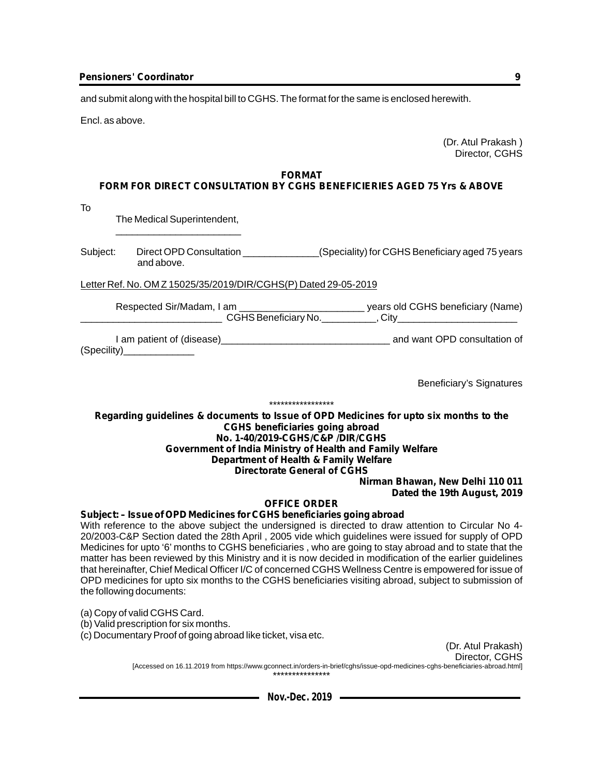and submit along with the hospital bill to CGHS. The format for the same is enclosed herewith.

Encl. as above.

(Dr. Atul Prakash ) Director, CGHS

#### **FORMAT**

## **FORM FOR DIRECT CONSULTATION BY CGHS BENEFICIERIES AGED 75 Yrs & ABOVE**

To

The Medical Superintendent, \_\_\_\_\_\_\_\_\_\_\_\_\_\_\_\_\_\_\_\_\_\_\_

Subject: Direct OPD Consultation \_\_\_\_\_\_\_\_\_\_\_\_\_\_(Speciality) for CGHS Beneficiary aged 75 years and above.

Letter Ref. No. OM Z 15025/35/2019/DIR/CGHS(P) Dated 29-05-2019

Respected Sir/Madam, I am \_\_\_\_\_\_\_\_\_\_\_\_\_\_\_\_\_\_\_\_\_\_\_\_\_\_\_\_\_\_\_ years old CGHS beneficiary (Name) \_\_\_\_\_\_\_\_\_\_\_\_\_\_\_\_\_\_\_\_\_\_\_\_\_\_ CGHS Beneficiary No.\_\_\_\_\_\_\_\_\_\_, City\_\_\_\_\_\_\_\_\_\_\_\_\_\_\_\_\_\_\_\_\_\_

I am patient of (disease)\_\_\_\_\_\_\_\_\_\_\_\_\_\_\_\_\_\_\_\_\_\_\_\_\_\_\_\_\_\_\_ and want OPD consultation of (Specility)\_\_\_\_\_\_\_\_\_\_\_\_\_

Beneficiary's Signatures

#### \*\*\*\*\*\*\*\*\*\*\*\*\*\*\*\*\*

#### **Regarding guidelines & documents to Issue of OPD Medicines for upto six months to the CGHS beneficiaries going abroad No. 1-40/2019-CGHS/C&P /DIR/CGHS Government of India Ministry of Health and Family Welfare Department of Health & Family Welfare Directorate General of CGHS**

**Nirman Bhawan, New Delhi 110 011 Dated the 19th August, 2019**

#### **OFFICE ORDER**

**Subject: – Issue of OPD Medicines for CGHS beneficiaries going abroad**

With reference to the above subject the undersigned is directed to draw attention to Circular No 4- 20/2003-C&P Section dated the 28th April , 2005 vide which guidelines were issued for supply of OPD Medicines for upto '6' months to CGHS beneficiaries , who are going to stay abroad and to state that the matter has been reviewed by this Ministry and it is now decided in modification of the earlier guidelines that hereinafter, Chief Medical Officer I/C of concerned CGHS Wellness Centre is empowered for issue of OPD medicines for upto six months to the CGHS beneficiaries visiting abroad, subject to submission of the following documents:

(a) Copy of valid CGHS Card.

(b) Valid prescription for six months.

(c) Documentary Proof of going abroad like ticket, visa etc.

(Dr. Atul Prakash) Director, CGHS

[Accessed on 16.11.2019 from https://www.gconnect.in/orders-in-brief/cghs/issue-opd-medicines-cghs-beneficiaries-abroad.html] \*\*\*\*\*\*\*\*\*\*\*\*\*\*\*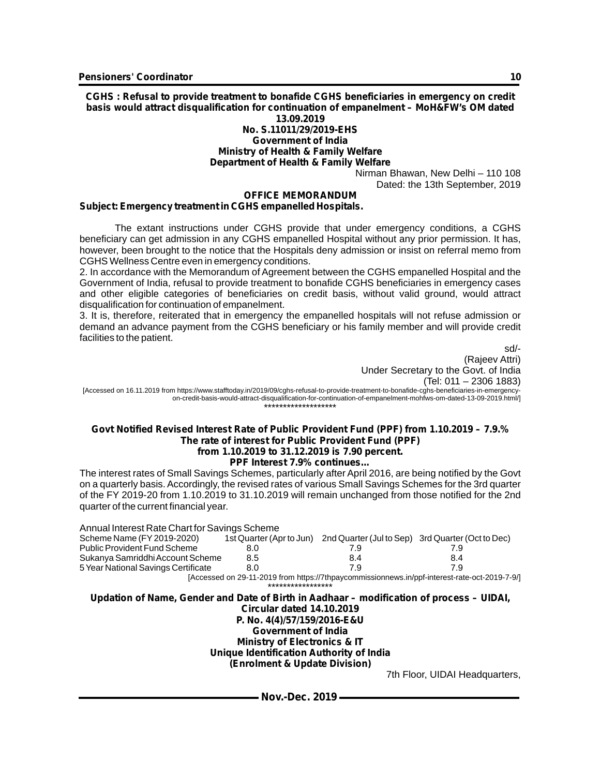**CGHS : Refusal to provide treatment to bonafide CGHS beneficiaries in emergency on credit basis would attract disqualification for continuation of empanelment – MoH&FW's OM dated 13.09.2019 No. S.11011/29/2019-EHS Government of India**

## **Ministry of Health & Family Welfare**

**Department of Health & Family Welfare**

Nirman Bhawan, New Delhi – 110 108 Dated: the 13th September, 2019

#### **OFFICE MEMORANDUM**

#### **Subject: Emergency treatment in CGHS empanelled Hospitals.**

The extant instructions under CGHS provide that under emergency conditions, a CGHS beneficiary can get admission in any CGHS empanelled Hospital without any prior permission. It has, however, been brought to the notice that the Hospitals deny admission or insist on referral memo from CGHS Wellness Centre even in emergency conditions.

2. In accordance with the Memorandum of Agreement between the CGHS empanelled Hospital and the Government of India, refusal to provide treatment to bonafide CGHS beneficiaries in emergency cases and other eligible categories of beneficiaries on credit basis, without valid ground, would attract disqualification for continuation of empanelment.

3. It is, therefore, reiterated that in emergency the empanelled hospitals will not refuse admission or demand an advance payment from the CGHS beneficiary or his family member and will provide credit facilities to the patient.

sd/-

(Rajeev Attri) Under Secretary to the Govt. of India (Tel: 011 – 2306 1883)

[Accessed on 16.11.2019 from https://www.stafftoday.in/2019/09/cghs-refusal-to-provide-treatment-to-bonafide-cghs-beneficiaries-in-emergencyon-credit-basis-would-attract-disqualification-for-continuation-of-empanelment-mohfws-om-dated-13-09-2019.html/] \*\*\*\*\*\*\*\*\*\*\*\*\*\*\*\*\*\*\*

#### **Govt Notified Revised Interest Rate of Public Provident Fund (PPF) from 1.10.2019 – 7.9.% The rate of interest for Public Provident Fund (PPF) from 1.10.2019 to 31.12.2019 is 7.90 percent. PPF Interest 7.9% continues…**

The interest rates of Small Savings Schemes, particularly after April 2016, are being notified by the Govt on a quarterly basis. Accordingly, the revised rates of various Small Savings Schemes for the 3rd quarter of the FY 2019-20 from 1.10.2019 to 31.10.2019 will remain unchanged from those notified for the 2nd quarter of the current financial year.

| Annual Interest Rate Chart for Savings Scheme |                          |                                                   |                                                                                               |
|-----------------------------------------------|--------------------------|---------------------------------------------------|-----------------------------------------------------------------------------------------------|
| Scheme Name (FY 2019-2020)                    | 1st Quarter (Apr to Jun) | 2nd Quarter (Jul to Sep) 3rd Quarter (Oct to Dec) |                                                                                               |
| <b>Public Provident Fund Scheme</b>           | 8.0                      | 7.9                                               | 7.9                                                                                           |
| Sukanya Samriddhi Account Scheme              | 8.5                      | 8.4                                               | 8.4                                                                                           |
| 5 Year National Savings Certificate           | 8.0                      | 7.9                                               | 7.9                                                                                           |
|                                               |                          |                                                   | [Accessed on 29-11-2019 from https://7thpaycommissionnews.in/ppf-interest-rate-oct-2019-7-9/] |
|                                               | *****************        |                                                   |                                                                                               |

**Updation of Name, Gender and Date of Birth in Aadhaar – modification of process – UIDAI, Circular dated 14.10.2019 P. No. 4(4)/57/159/2016-E&U Government of India Ministry of Electronics & IT Unique Identification Authority of India (Enrolment & Update Division)**

7th Floor, UIDAI Headquarters,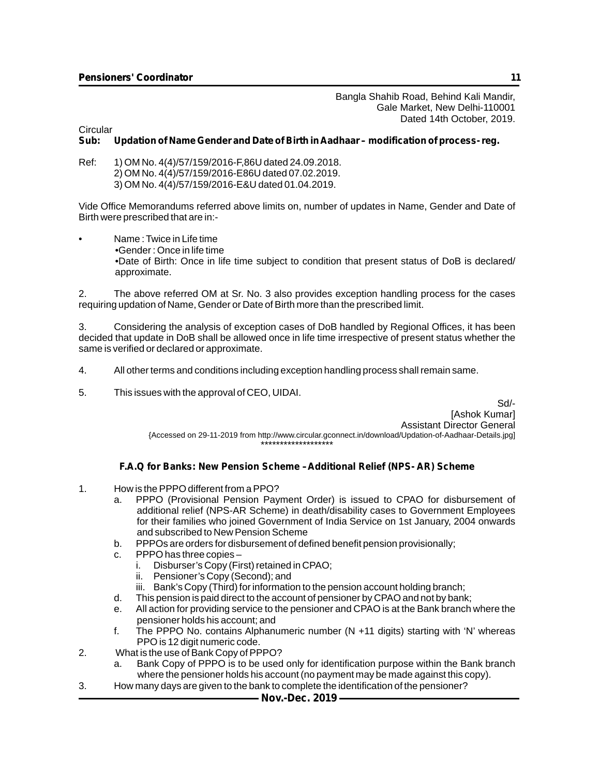Bangla Shahib Road, Behind Kali Mandir, Gale Market, New Delhi-110001 Dated 14th October, 2019.

Circular<br>Sub:

#### **Sub: Updation of Name Gender and Date of Birth in Aadhaar – modification of process- reg.**

Ref: 1) OM No. 4(4)/57/159/2016-F,86U dated 24.09.2018. 2) OM No. 4(4)/57/159/2016-E86U dated 07.02.2019. 3) OM No. 4(4)/57/159/2016-E&U dated 01.04.2019.

Vide Office Memorandums referred above limits on, number of updates in Name, Gender and Date of Birth were prescribed that are in:-

• Name : Twice in Life time •Gender : Once in life time •Date of Birth: Once in life time subject to condition that present status of DoB is declared/ approximate.

The above referred OM at Sr. No. 3 also provides exception handling process for the cases requiring updation of Name, Gender or Date of Birth more than the prescribed limit.

3. Considering the analysis of exception cases of DoB handled by Regional Offices, it has been decided that update in DoB shall be allowed once in life time irrespective of present status whether the same is verified or declared or approximate.

- 4. All other terms and conditions including exception handling process shall remain same.
- 5. This issues with the approval of CEO, UIDAI.

Sd/- [Ashok Kumar] Assistant Director General {Accessed on 29-11-2019 from http://www.circular.gconnect.in/download/Updation-of-Aadhaar-Details.jpg] \*\*\*\*\*\*\*\*\*\*\*\*\*\*\*\*\*\*\*

#### **F.A.Q for Banks: New Pension Scheme –Additional Relief (NPS- AR) Scheme**

- 1. How is the PPPO different from a PPO?
	- a. PPPO (Provisional Pension Payment Order) is issued to CPAO for disbursement of additional relief (NPS-AR Scheme) in death/disability cases to Government Employees for their families who joined Government of India Service on 1st January, 2004 onwards and subscribed to New Pension Scheme
	- b. PPPOs are orders for disbursement of defined benefit pension provisionally;
	- c. PPPO has three copies
		- i. Disburser's Copy (First) retained in CPAO;
		- ii. Pensioner's Copy (Second); and
		- iii. Bank's Copy (Third) for information to the pension account holding branch;
	- d. This pension is paid direct to the account of pensioner by CPAO and not by bank;
	- e. All action for providing service to the pensioner and CPAO is at the Bank branch where the pensioner holds his account; and
	- f. The PPPO No. contains Alphanumeric number (N +11 digits) starting with 'N' whereas PPO is 12 digit numeric code.
- 2. What is the use of Bank Copy of PPPO?
	- a. Bank Copy of PPPO is to be used only for identification purpose within the Bank branch where the pensioner holds his account (no payment may be made against this copy).
- 3. How many days are given to the bank to complete the identification of the pensioner?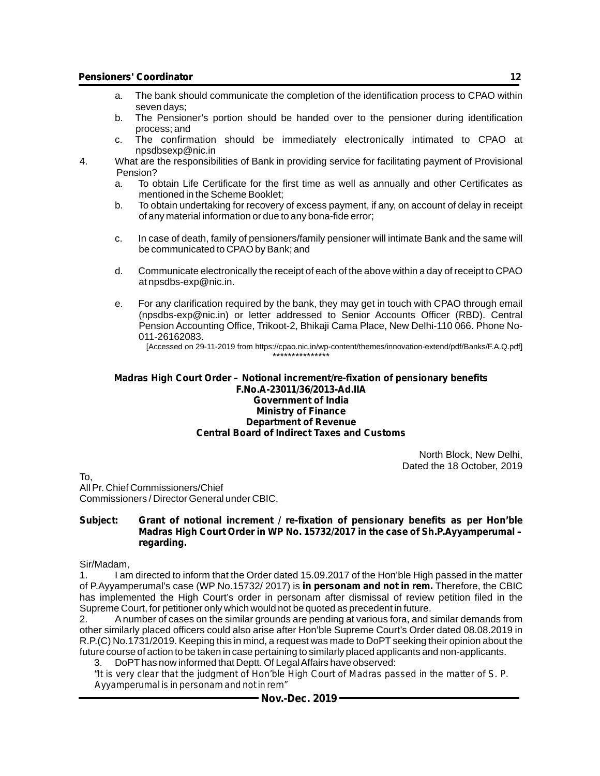- a. The bank should communicate the completion of the identification process to CPAO within seven days;
- b. The Pensioner's portion should be handed over to the pensioner during identification process; and
- c. The confirmation should be immediately electronically intimated to CPAO at npsdbsexp@nic.in
- 4. What are the responsibilities of Bank in providing service for facilitating payment of Provisional Pension?
	- a. To obtain Life Certificate for the first time as well as annually and other Certificates as mentioned in the Scheme Booklet;
	- b. To obtain undertaking for recovery of excess payment, if any, on account of delay in receipt of any material information or due to any bona-fide error;
	- c. In case of death, family of pensioners/family pensioner will intimate Bank and the same will be communicated to CPAO by Bank; and
	- d. Communicate electronically the receipt of each of the above within a day of receipt to CPAO at npsdbs-exp@nic.in.
	- e. For any clarification required by the bank, they may get in touch with CPAO through email (npsdbs-exp@nic.in) or letter addressed to Senior Accounts Officer (RBD). Central Pension Accounting Office, Trikoot-2, Bhikaji Cama Place, New Delhi-110 066. Phone No-011-26162083.

[Accessed on 29-11-2019 from https://cpao.nic.in/wp-content/themes/innovation-extend/pdf/Banks/F.A.Q.pdf]

#### **Madras High Court Order – Notional increment/re-fixation of pensionary benefits F.No.A-23011/36/2013-Ad.IIA Government of India Ministry of Finance Department of Revenue Central Board of Indirect Taxes and Customs**

\*\*\*\*\*\*\*\*\*\*\*\*\*\*\*

North Block, New Delhi, Dated the 18 October, 2019

To, All Pr. Chief Commissioners/Chief Commissioners / Director General under CBIC,

#### **Subject: Grant of notional increment / re-fixation of pensionary benefits as per Hon'ble Madras High Court Order in WP No. 15732/2017 in the case of Sh.P.Ayyamperumal – regarding.**

#### Sir/Madam,

1. I am directed to inform that the Order dated 15.09.2017 of the Hon'ble High passed in the matter of P.Ayyamperumal's case (WP No.15732/ 2017) is *in personam and not in rem.* Therefore, the CBIC has implemented the High Court's order in personam after dismissal of review petition filed in the Supreme Court, for petitioner only which would not be quoted as precedent in future.

2. Anumber of cases on the similar grounds are pending at various fora, and similar demands from other similarly placed officers could also arise after Hon'ble Supreme Court's Order dated 08.08.2019 in R.P.(C) No.1731/2019. Keeping this in mind, a request was made to DoPT seeking their opinion about the future course of action to be taken in case pertaining to similarly placed applicants and non-applicants.

3. DoPThas now informed that Deptt. Of Legal Affairs have observed:

*"It is very clear that the judgment of Hon'ble High Court of Madras passed in the matter of S. P. Ayyamperumal is in personam and not in rem"*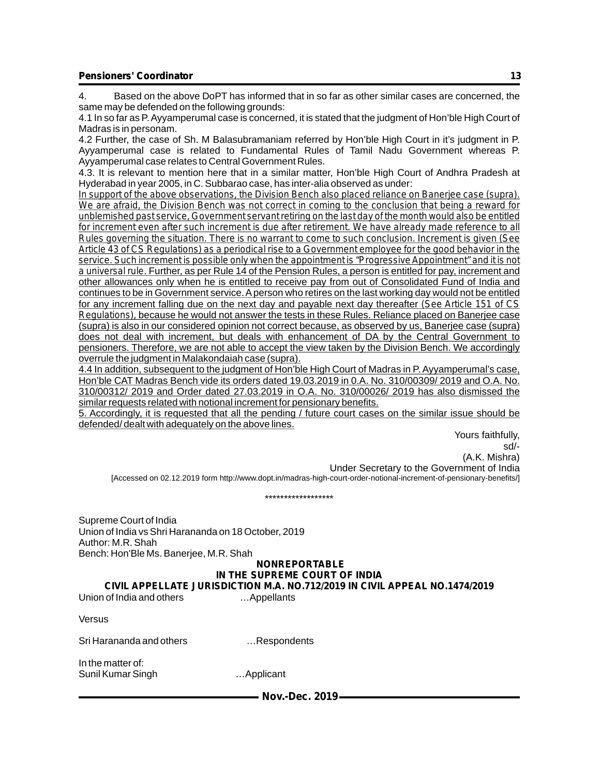4. Based on the above DoPT has informed that in so far as other similar cases are concerned, the same may be defended on the following grounds:

4.1 In so far as P. Ayyamperumal case is concerned, it is stated that the judgment of Hon'ble High Court of Madras is in personam.

4.2 Further, the case of Sh. M Balasubramaniam referred by Hon'ble High Court in it's judgment in P. Ayyamperumal case is related to Fundamental Rules of Tamil Nadu Government whereas P. Ayyamperumal case relates to Central Government Rules.

4.3. It is relevant to mention here that in a similar matter, Hon'ble High Court of Andhra Pradesh at Hyderabad in year 2005, in C. Subbarao case, has inter-alia observed as under:

*In support of the above observations, the Division Bench also placed reliance on Banerjee case (supra). We are afraid, the Division Bench was not correct in coming to the conclusion that being a reward for unblemished past service, Government servant retiring on the last day of the month would also be entitled*  for increment even after such increment is due after retirement. We have already made reference to all *Rules governing the situation. There is no warrant to come to such conclusion. Increment is given (See Article 43 of CS Regulations) as a periodical rise to a Government employee for the good behavior in the service. Such increment is possible only when the appointment is "Progressive Appointment" and it is not a universal rule.* Further, as per Rule 14 of the Pension Rules, a person is entitled for pay, increment and other allowances only when he is entitled to receive pay from out of Consolidated Fund of India and continues to be in Government service. Aperson who retires on the last working day would not be entitled for any increment falling due on the next day and payable next day thereafter *(See Article 151 of CS Regulations),* because he would not answer the tests in these Rules. Reliance placed on Banerjee case (supra) is also in our considered opinion not correct because, as observed by us, Banerjee case (supra) does not deal with increment, but deals with enhancement of DA by the Central Government to pensioners. Therefore, we are not able to accept the view taken by the Division Bench. We accordingly overrule the judgment in Malakondaiah case (supra).

4.4 In addition, subsequent to the judgment of Hon'ble High Court of Madras in P. Ayyamperumal's case, Hon'ble CAT Madras Bench vide its orders dated 19.03.2019 in 0.A. No. 310/00309/ 2019 and O.A. No. 310/00312/ 2019 and Order dated 27.03.2019 in O.A. No. 310/00026/ 2019 has also dismissed the similar requests related with notional increment for pensionary benefits.

5. Accordingly, it is requested that all the pending / future court cases on the similar issue should be defended/ dealt with adequately on the above lines.

Yours faithfully, sd/- (A.K. Mishra) Under Secretary to the Government of India [Accessed on 02.12.2019 form http://www.dopt.in/madras-high-court-order-notional-increment-of-pensionary-benefits/]

\*\*\*\*\*\*\*\*\*\*\*\*\*\*\*\*\*\*

Supreme Court of India Union of India vs Shri Harananda on 18 October, 2019 Author: M.R. Shah Bench: Hon'Ble Ms. Banerjee, M.R. Shah

#### **NONREPORTABLE**

#### **IN THE SUPREME COURT OF INDIA**

**CIVIL APPELLATE JURISDICTION M.A. NO.712/2019 IN CIVIL APPEAL NO.1474/2019**

Union of India and others …Appellants

Versus

Sri Harananda and others …Respondents

In the matter of: Sunil Kumar Singh …Applicant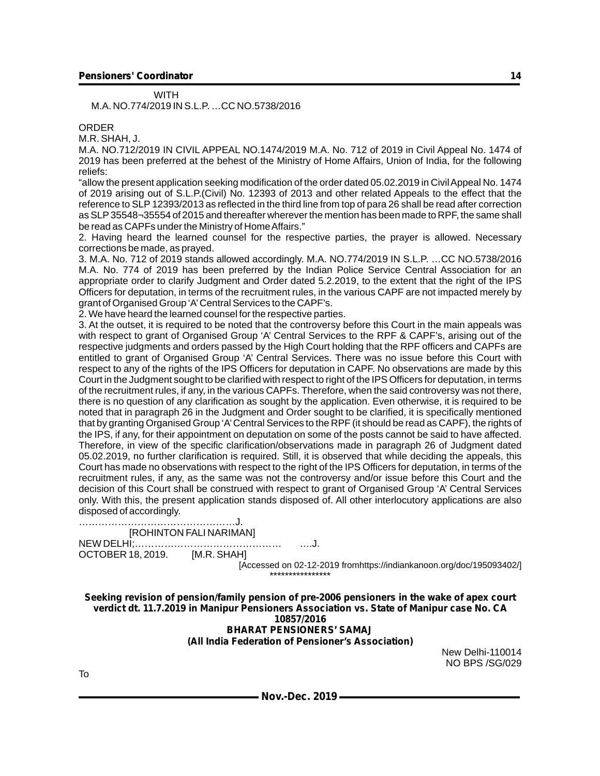M.A. NO.774/2019 IN S.L.P. …CC NO.5738/2016

**WITH** 

ORDER

M.R. SHAH, J.

M.A. NO.712/2019 IN CIVIL APPEAL NO.1474/2019 M.A. No. 712 of 2019 in Civil Appeal No. 1474 of 2019 has been preferred at the behest of the Ministry of Home Affairs, Union of India, for the following reliefs:

"allow the present application seeking modification of the order dated 05.02.2019 in Civil Appeal No. 1474 of 2019 arising out of S.L.P.(Civil) No. 12393 of 2013 and other related Appeals to the effect that the reference to SLP 12393/2013 as reflected in the third line from top of para 26 shall be read after correction as SLP35548¬35554 of 2015 and thereafter wherever the mention has been made to RPF, the same shall be read as CAPFs under the Ministry of Home Affairs."

2. Having heard the learned counsel for the respective parties, the prayer is allowed. Necessary corrections be made, as prayed.

3. M.A. No. 712 of 2019 stands allowed accordingly. M.A. NO.774/2019 IN S.L.P. …CC NO.5738/2016 M.A. No. 774 of 2019 has been preferred by the Indian Police Service Central Association for an appropriate order to clarify Judgment and Order dated 5.2.2019, to the extent that the right of the IPS Officers for deputation, in terms of the recruitment rules, in the various CAPF are not impacted merely by grant of Organised Group 'A'Central Services to the CAPF's.

2. We have heard the learned counsel for the respective parties.

3. At the outset, it is required to be noted that the controversy before this Court in the main appeals was with respect to grant of Organised Group 'A' Central Services to the RPF & CAPF's, arising out of the respective judgments and orders passed by the High Court holding that the RPF officers and CAPFs are entitled to grant of Organised Group 'A' Central Services. There was no issue before this Court with respect to any of the rights of the IPS Officers for deputation in CAPF. No observations are made by this Court in the Judgment sought to be clarified with respect to right of the IPS Officers for deputation, in terms of the recruitment rules, if any, in the various CAPFs. Therefore, when the said controversy was not there, there is no question of any clarification as sought by the application. Even otherwise, it is required to be noted that in paragraph 26 in the Judgment and Order sought to be clarified, it is specifically mentioned that by granting Organised Group 'A'Central Services to the RPF (it should be read as CAPF), the rights of the IPS, if any, for their appointment on deputation on some of the posts cannot be said to have affected. Therefore, in view of the specific clarification/observations made in paragraph 26 of Judgment dated 05.02.2019, no further clarification is required. Still, it is observed that while deciding the appeals, this Court has made no observations with respect to the right of the IPS Officers for deputation, in terms of the recruitment rules, if any, as the same was not the controversy and/or issue before this Court and the decision of this Court shall be construed with respect to grant of Organised Group 'A' Central Services only. With this, the present application stands disposed of. All other interlocutory applications are also disposed of accordingly.

…………………………………………J. [ROHINTON FALI NARIMAN]

NEW DELHI;……………………………………… ….J. OCTOBER 18, 2019. [M.R. SHAH]

[Accessed on 02-12-2019 fromhttps://indiankanoon.org/doc/195093402/] \*\*\*\*\*\*\*\*\*\*\*\*\*\*\*\*

**Seeking revision of pension/family pension of pre-2006 pensioners in the wake of apex court verdict dt. 11.7.2019 in Manipur Pensioners Association vs. State of Manipur case No. CA 10857/2016 BHARAT PENSIONERS' SAMAJ**

**(All India Federation of Pensioner's Association)**

New Delhi-110014 NO BPS /SG/029

To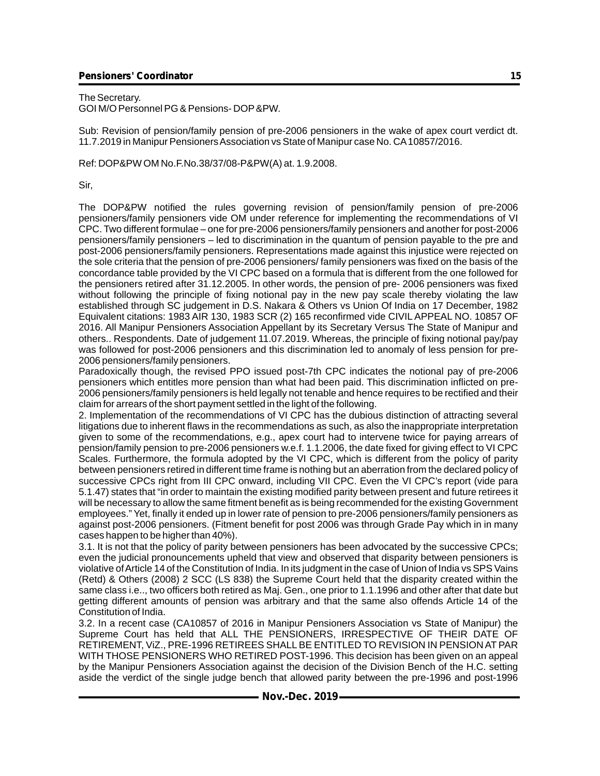The Secretary. GOI M/O Personnel PG & Pensions- DOP&PW.

Sub: Revision of pension/family pension of pre-2006 pensioners in the wake of apex court verdict dt. 11.7.2019 in Manipur Pensioners Association vs State of Manipur case No. CA10857/2016.

Ref: DOP&PW OM No.F.No.38/37/08-P&PW(A) at. 1.9.2008.

Sir,

The DOP&PW notified the rules governing revision of pension/family pension of pre-2006 pensioners/family pensioners vide OM under reference for implementing the recommendations of VI CPC. Two different formulae – one for pre-2006 pensioners/family pensioners and another for post-2006 pensioners/family pensioners – led to discrimination in the quantum of pension payable to the pre and post-2006 pensioners/family pensioners. Representations made against this injustice were rejected on the sole criteria that the pension of pre-2006 pensioners/ family pensioners was fixed on the basis of the concordance table provided by the VI CPC based on a formula that is different from the one followed for the pensioners retired after 31.12.2005. In other words, the pension of pre- 2006 pensioners was fixed without following the principle of fixing notional pay in the new pay scale thereby violating the law established through SC judgement in D.S. Nakara & Others vs Union Of India on 17 December, 1982 Equivalent citations: 1983 AIR 130, 1983 SCR (2) 165 reconfirmed vide CIVIL APPEAL NO. 10857 OF 2016. All Manipur Pensioners Association Appellant by its Secretary Versus The State of Manipur and others.. Respondents. Date of judgement 11.07.2019. Whereas, the principle of fixing notional pay/pay was followed for post-2006 pensioners and this discrimination led to anomaly of less pension for pre-2006 pensioners/family pensioners.

Paradoxically though, the revised PPO issued post-7th CPC indicates the notional pay of pre-2006 pensioners which entitles more pension than what had been paid. This discrimination inflicted on pre-2006 pensioners/family pensioners is held legally not tenable and hence requires to be rectified and their claim for arrears of the short payment settled in the light of the following.

2. Implementation of the recommendations of VI CPC has the dubious distinction of attracting several litigations due to inherent flaws in the recommendations as such, as also the inappropriate interpretation given to some of the recommendations, e.g., apex court had to intervene twice for paying arrears of pension/family pension to pre-2006 pensioners w.e.f. 1.1.2006, the date fixed for giving effect to VI CPC Scales. Furthermore, the formula adopted by the VI CPC, which is different from the policy of parity between pensioners retired in different time frame is nothing but an aberration from the declared policy of successive CPCs right from III CPC onward, including VII CPC. Even the VI CPC's report (vide para 5.1.47) states that "in order to maintain the existing modified parity between present and future retirees it will be necessary to allow the same fitment benefit as is being recommended for the existing Government employees." Yet, finally it ended up in lower rate of pension to pre-2006 pensioners/family pensioners as against post-2006 pensioners. (Fitment benefit for post 2006 was through Grade Pay which in in many cases happen to be higher than 40%).

3.1. It is not that the policy of parity between pensioners has been advocated by the successive CPCs; even the judicial pronouncements upheld that view and observed that disparity between pensioners is violative of Article 14 of the Constitution of India. In its judgment in the case of Union of India vs SPS Vains (Retd) & Others (2008) 2 SCC (LS 838) the Supreme Court held that the disparity created within the same class i.e.., two officers both retired as Maj. Gen., one prior to 1.1.1996 and other after that date but getting different amounts of pension was arbitrary and that the same also offends Article 14 of the Constitution of India.

3.2. In a recent case (CA10857 of 2016 in Manipur Pensioners Association vs State of Manipur) the Supreme Court has held that ALL THE PENSIONERS, IRRESPECTIVE OF THEIR DATE OF RETIREMENT, ViZ., PRE-1996 RETIREES SHALL BE ENTITLED TO REVISION IN PENSION AT PAR WITH THOSE PENSIONERS WHO RETIRED POST-1996. This decision has been given on an appeal by the Manipur Pensioners Association against the decision of the Division Bench of the H.C. setting aside the verdict of the single judge bench that allowed parity between the pre-1996 and post-1996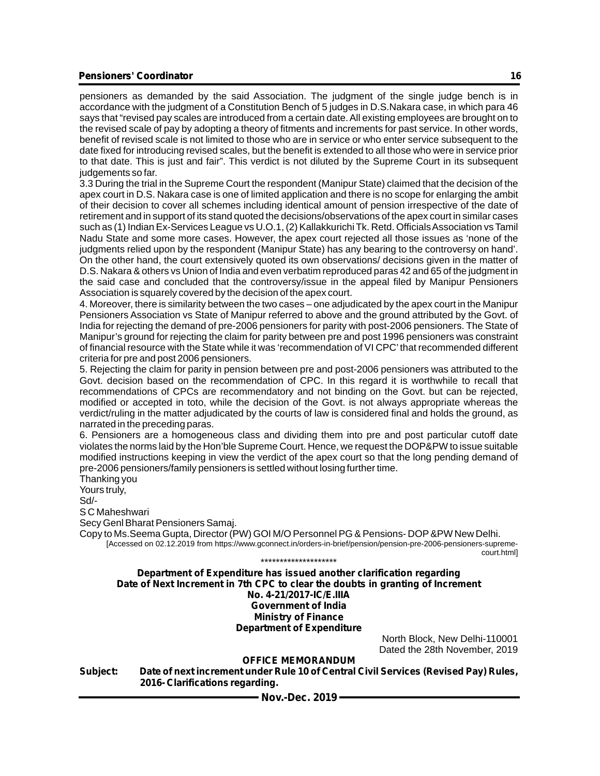pensioners as demanded by the said Association. The judgment of the single judge bench is in accordance with the judgment of a Constitution Bench of 5 judges in D.S.Nakara case, in which para 46 says that "revised pay scales are introduced from a certain date. All existing employees are brought on to the revised scale of pay by adopting a theory of fitments and increments for past service. In other words, benefit of revised scale is not limited to those who are in service or who enter service subsequent to the date fixed for introducing revised scales, but the benefit is extended to all those who were in service prior to that date. This is just and fair". This verdict is not diluted by the Supreme Court in its subsequent judgements so far.

3.3 During the trial in the Supreme Court the respondent (Manipur State) claimed that the decision of the apex court in D.S. Nakara case is one of limited application and there is no scope for enlarging the ambit of their decision to cover all schemes including identical amount of pension irrespective of the date of retirement and in support of its stand quoted the decisions/observations of the apex court in similar cases such as (1) Indian Ex-Services League vs U.O.1, (2) Kallakkurichi Tk. Retd. Officials Association vs Tamil Nadu State and some more cases. However, the apex court rejected all those issues as 'none of the judgments relied upon by the respondent (Manipur State) has any bearing to the controversy on hand'. On the other hand, the court extensively quoted its own observations/ decisions given in the matter of D.S. Nakara & others vs Union of India and even verbatim reproduced paras 42 and 65 of the judgment in the said case and concluded that the controversy/issue in the appeal filed by Manipur Pensioners Association is squarely covered by the decision of the apex court.

4. Moreover, there is similarity between the two cases – one adjudicated by the apex court in the Manipur Pensioners Association vs State of Manipur referred to above and the ground attributed by the Govt. of India for rejecting the demand of pre-2006 pensioners for parity with post-2006 pensioners. The State of Manipur's ground for rejecting the claim for parity between pre and post 1996 pensioners was constraint of financial resource with the State while it was 'recommendation of VI CPC'that recommended different criteria for pre and post 2006 pensioners.

5. Rejecting the claim for parity in pension between pre and post-2006 pensioners was attributed to the Govt. decision based on the recommendation of CPC. In this regard it is worthwhile to recall that recommendations of CPCs are recommendatory and not binding on the Govt. but can be rejected, modified or accepted in toto, while the decision of the Govt. is not always appropriate whereas the verdict/ruling in the matter adjudicated by the courts of law is considered final and holds the ground, as narrated in the preceding paras.

6. Pensioners are a homogeneous class and dividing them into pre and post particular cutoff date violates the norms laid by the Hon'ble Supreme Court. Hence, we request the DOP&PW to issue suitable modified instructions keeping in view the verdict of the apex court so that the long pending demand of pre-2006 pensioners/family pensioners is settled without losing further time.

Thanking you Yours truly,

Sd/-

S C Maheshwari

Secy Genl Bharat Pensioners Samaj.

Copy to Ms.Seema Gupta, Director (PW) GOI M/O Personnel PG & Pensions- DOP&PW New Delhi. [Accessed on 02.12.2019 from https://www.gconnect.in/orders-in-brief/pension/pension-pre-2006-pensioners-supremecourt.html] \*\*\*\*\*\*\*\*\*\*\*\*\*\*\*\*\*\*\*\*

**Department of Expenditure has issued another clarification regarding Date of Next Increment in 7th CPC to clear the doubts in granting of Increment No. 4-21/2017-IC/E.IIIA Government of India Ministry of Finance Department of Expenditure**

North Block, New Delhi-110001 Dated the 28th November, 2019

#### **OFFICE MEMORANDUM**

**Subject: Date of next increment under Rule 10 of Central Civil Services (Revised Pay) Rules, 2016- Clarifications regarding.**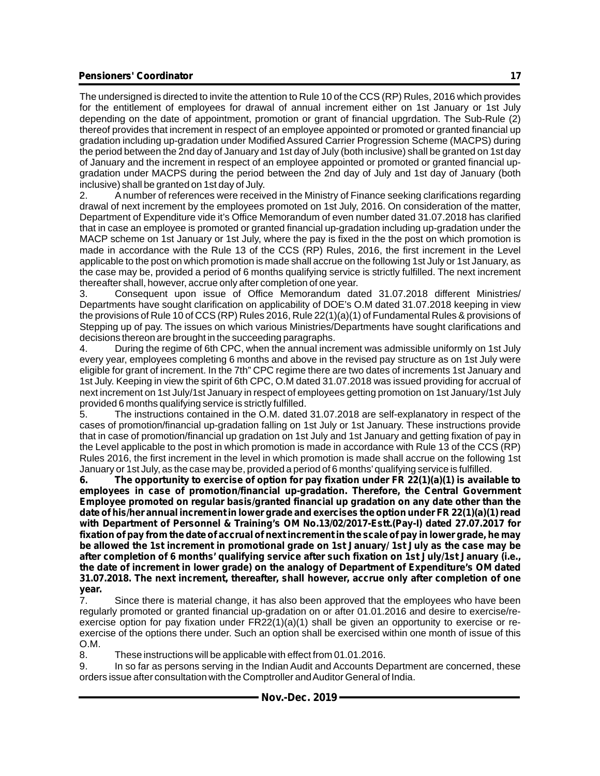The undersigned is directed to invite the attention to Rule 10 of the CCS (RP) Rules, 2016 which provides for the entitlement of employees for drawal of annual increment either on 1st January or 1st July depending on the date of appointment, promotion or grant of financial upgrdation. The Sub-Rule (2) thereof provides that increment in respect of an employee appointed or promoted or granted financial up gradation including up-gradation under Modified Assured Carrier Progression Scheme (MACPS) during the period between the 2nd day of January and 1st day of July (both inclusive) shall be granted on 1st day of January and the increment in respect of an employee appointed or promoted or granted financial upgradation under MACPS during the period between the 2nd day of July and 1st day of January (both inclusive) shall be granted on 1st day of July.

2. Anumber of references were received in the Ministry of Finance seeking clarifications regarding drawal of next increment by the employees promoted on 1st July, 2016. On consideration of the matter, Department of Expenditure vide it's Office Memorandum of even number dated 31.07.2018 has clarified that in case an employee is promoted or granted financial up-gradation including up-gradation under the MACP scheme on 1st January or 1st July, where the pay is fixed in the the post on which promotion is made in accordance with the Rule 13 of the CCS (RP) Rules, 2016, the first increment in the Level applicable to the post on which promotion is made shall accrue on the following 1st July or 1st January, as the case may be, provided a period of 6 months qualifying service is strictly fulfilled. The next increment thereafter shall, however, accrue only after completion of one year.

3. Consequent upon issue of Office Memorandum dated 31.07.2018 different Ministries/ Departments have sought clarification on applicability of DOE's O.M dated 31.07.2018 keeping in view the provisions of Rule 10 of CCS (RP) Rules 2016, Rule 22(1)(a)(1) of Fundamental Rules & provisions of Stepping up of pay. The issues on which various Ministries/Departments have sought clarifications and decisions thereon are brought in the succeeding paragraphs.

4. During the regime of 6th CPC, when the annual increment was admissible uniformly on 1st July every year, employees completing 6 months and above in the revised pay structure as on 1st July were eligible for grant of increment. In the 7th" CPC regime there are two dates of increments 1st January and 1st July. Keeping in view the spirit of 6th CPC, O.M dated 31.07.2018 was issued providing for accrual of next increment on 1st July/1st January in respect of employees getting promotion on 1st January/1st July provided 6 months qualifying service is strictly fulfilled.

5. The instructions contained in the O.M. dated 31.07.2018 are self-explanatory in respect of the cases of promotion/financial up-gradation falling on 1st July or 1st January. These instructions provide that in case of promotion/financial up gradation on 1st July and 1st January and getting fixation of pay in the Level applicable to the post in which promotion is made in accordance with Rule 13 of the CCS (RP) Rules 2016, the first increment in the level in which promotion is made shall accrue on the following 1st January or 1st July, as the case may be, provided a period of 6 months'qualifying service is fulfilled.

**6. The opportunity to exercise of option for pay fixation under FR 22(1)(a)(1) is available to employees in case of promotion/financial up-gradation. Therefore, the Central Government Employee promoted on regular basis/granted financial up gradation on any date other than the date of his/her annual increment in lower grade and exercises the option under FR 22(1)(a)(1) read with Department of Personnel & Training's OM No.13/02/2017-Estt.(Pay-I) dated 27.07.2017 for fixation of pay from the date of accrual of next increment in the scale of pay in lower grade, he may be allowed the 1st increment in promotional grade on 1st January/ 1st July as the case may be after completion of 6 months' qualifying service after such fixation on 1st July/1st January (i.e., the date of increment in lower grade) on the analogy of Department of Expenditure's OM dated 31.07.2018. The next increment, thereafter, shall however, accrue only after completion of one year.**

7. Since there is material change, it has also been approved that the employees who have been regularly promoted or granted financial up-gradation on or after 01.01.2016 and desire to exercise/reexercise option for pay fixation under  $FR22(1)(a)(1)$  shall be given an opportunity to exercise or reexercise of the options there under. Such an option shall be exercised within one month of issue of this O.M.

8. These instructions will be applicable with effect from 01.01.2016.

9. In so far as persons serving in the Indian Audit and Accounts Department are concerned, these orders issue after consultation with the Comptroller and Auditor General of India.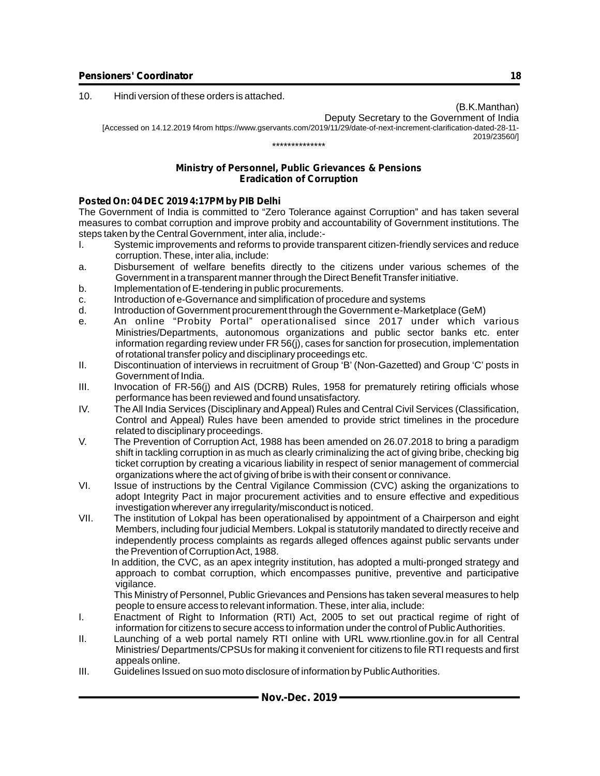10. Hindi version of these orders is attached.

(B.K.Manthan) Deputy Secretary to the Government of India [Accessed on 14.12.2019 f4rom https://www.gservants.com/2019/11/29/date-of-next-increment-clarification-dated-28-11- 2019/23560/] \*\*\*\*\*\*\*\*\*\*\*\*\*\*

#### **Ministry of Personnel, Public Grievances & Pensions Eradication of Corruption**

#### **Posted On: 04 DEC 2019 4:17PM by PIB Delhi**

The Government of India is committed to "Zero Tolerance against Corruption" and has taken several measures to combat corruption and improve probity and accountability of Government institutions. The steps taken by the Central Government, inter alia, include:-

- I. Systemic improvements and reforms to provide transparent citizen-friendly services and reduce corruption. These, inter alia, include:
- a. Disbursement of welfare benefits directly to the citizens under various schemes of the Government in a transparent manner through the Direct Benefit Transfer initiative.
- b. Implementation of E-tendering in public procurements.
- c. Introduction of e-Governance and simplification of procedure and systems
- d. Introduction of Government procurement through the Government e-Marketplace (GeM)
- e. An online "Probity Portal" operationalised since 2017 under which various Ministries/Departments, autonomous organizations and public sector banks etc. enter information regarding review under FR 56(j), cases for sanction for prosecution, implementation of rotational transfer policy and disciplinary proceedings etc.
- II. Discontinuation of interviews in recruitment of Group 'B' (Non-Gazetted) and Group 'C'posts in Government of India.
- III. Invocation of FR-56(j) and AIS (DCRB) Rules, 1958 for prematurely retiring officials whose performance has been reviewed and found unsatisfactory.
- IV. The All India Services (Disciplinary and Appeal) Rules and Central Civil Services (Classification, Control and Appeal) Rules have been amended to provide strict timelines in the procedure related to disciplinary proceedings.
- V. The Prevention of Corruption Act, 1988 has been amended on 26.07.2018 to bring a paradigm shift in tackling corruption in as much as clearly criminalizing the act of giving bribe, checking big ticket corruption by creating a vicarious liability in respect of senior management of commercial organizations where the act of giving of bribe is with their consent or connivance.
- VI. Issue of instructions by the Central Vigilance Commission (CVC) asking the organizations to adopt Integrity Pact in major procurement activities and to ensure effective and expeditious investigation wherever any irregularity/misconduct is noticed.
- VII. The institution of Lokpal has been operationalised by appointment of a Chairperson and eight Members, including four judicial Members. Lokpal is statutorily mandated to directly receive and independently process complaints as regards alleged offences against public servants under the Prevention of Corruption Act, 1988.

 In addition, the CVC, as an apex integrity institution, has adopted a multi-pronged strategy and approach to combat corruption, which encompasses punitive, preventive and participative vigilance.

 This Ministry of Personnel, Public Grievances and Pensions has taken several measures to help people to ensure access to relevant information. These, inter alia, include:

- I. Enactment of Right to Information (RTI) Act, 2005 to set out practical regime of right of information for citizens to secure access to information under the control of Public Authorities.
- II. Launching of a web portal namely RTI online with URL www.rtionline.gov.in for all Central Ministries/ Departments/CPSUs for making it convenient for citizens to file RTI requests and first appeals online.
- III. Guidelines Issued on suo moto disclosure of information by Public Authorities.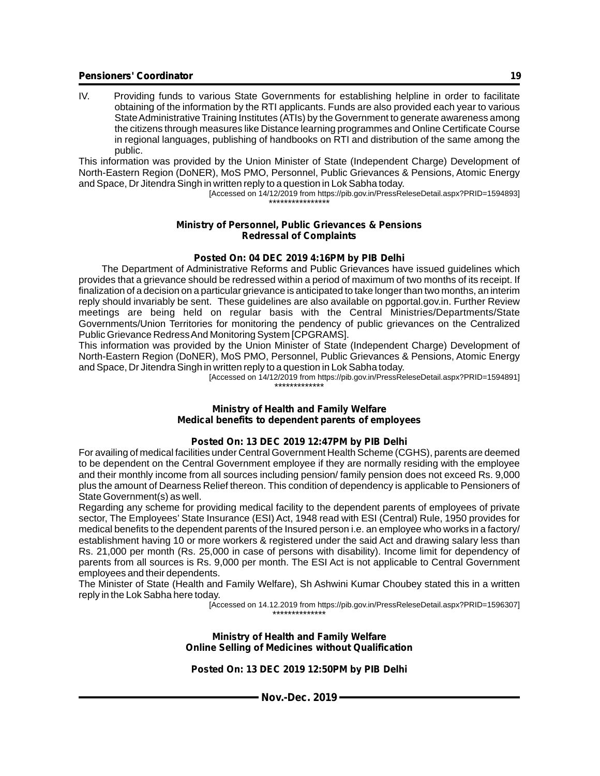IV. Providing funds to various State Governments for establishing helpline in order to facilitate obtaining of the information by the RTI applicants. Funds are also provided each year to various State Administrative Training Institutes (ATIs) by the Government to generate awareness among the citizens through measures like Distance learning programmes and Online Certificate Course in regional languages, publishing of handbooks on RTI and distribution of the same among the public.

This information was provided by the Union Minister of State (Independent Charge) Development of North-Eastern Region (DoNER), MoS PMO, Personnel, Public Grievances & Pensions, Atomic Energy and Space, Dr Jitendra Singh in written reply to a question in Lok Sabha today.

[Accessed on 14/12/2019 from https://pib.gov.in/PressReleseDetail.aspx?PRID=1594893] \*\*\*\*\*\*\*\*\*\*\*\*\*\*\*\*

#### **Ministry of Personnel, Public Grievances & Pensions Redressal of Complaints**

#### **Posted On: 04 DEC 2019 4:16PM by PIB Delhi**

 The Department of Administrative Reforms and Public Grievances have issued guidelines which provides that a grievance should be redressed within a period of maximum of two months of its receipt. If finalization of a decision on a particular grievance is anticipated to take longer than two months, an interim reply should invariably be sent. These guidelines are also available on pgportal.gov.in. Further Review meetings are being held on regular basis with the Central Ministries/Departments/State Governments/Union Territories for monitoring the pendency of public grievances on the Centralized Public Grievance Redress And Monitoring System [CPGRAMS].

This information was provided by the Union Minister of State (Independent Charge) Development of North-Eastern Region (DoNER), MoS PMO, Personnel, Public Grievances & Pensions, Atomic Energy and Space, Dr Jitendra Singh in written reply to a question in Lok Sabha today.

[Accessed on 14/12/2019 from https://pib.gov.in/PressReleseDetail.aspx?PRID=1594891] \*\*\*\*\*\*\*\*\*\*\*\*\*

#### **Ministry of Health and Family Welfare Medical benefits to dependent parents of employees**

#### **Posted On: 13 DEC 2019 12:47PM by PIB Delhi**

For availing of medical facilities under Central Government Health Scheme (CGHS), parents are deemed to be dependent on the Central Government employee if they are normally residing with the employee and their monthly income from all sources including pension/ family pension does not exceed Rs. 9,000 plus the amount of Dearness Relief thereon. This condition of dependency is applicable to Pensioners of State Government(s) as well.

Regarding any scheme for providing medical facility to the dependent parents of employees of private sector, The Employees' State Insurance (ESI) Act, 1948 read with ESI (Central) Rule, 1950 provides for medical benefits to the dependent parents of the Insured person i.e. an employee who works in a factory/ establishment having 10 or more workers & registered under the said Act and drawing salary less than Rs. 21,000 per month (Rs. 25,000 in case of persons with disability). Income limit for dependency of parents from all sources is Rs. 9,000 per month. The ESI Act is not applicable to Central Government employees and their dependents.

The Minister of State (Health and Family Welfare), Sh Ashwini Kumar Choubey stated this in a written reply in the Lok Sabha here today.

 [Accessed on 14.12.2019 from https://pib.gov.in/PressReleseDetail.aspx?PRID=1596307] \*\*\*\*\*\*\*\*\*\*\*\*\*\*

#### **Ministry of Health and Family Welfare Online Selling of Medicines without Qualification**

#### **Posted On: 13 DEC 2019 12:50PM by PIB Delhi**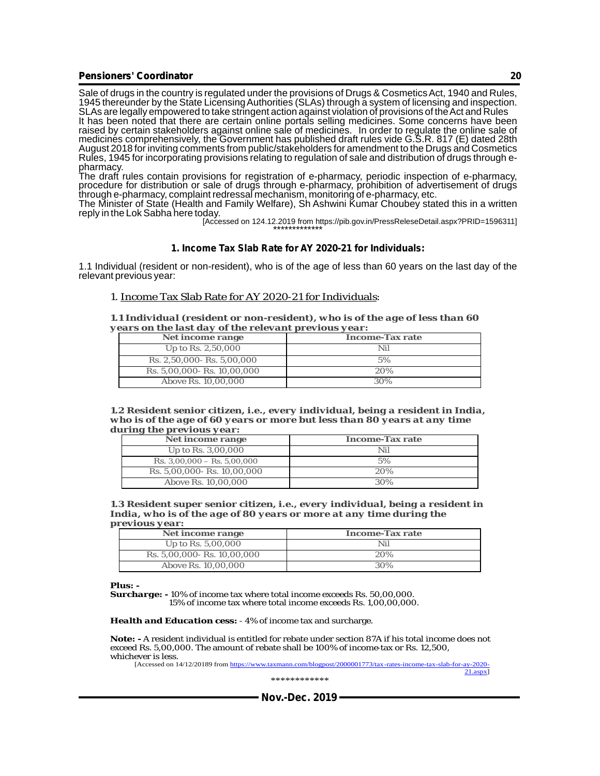Sale of drugs in the country is regulated under the provisions of Drugs & Cosmetics Act, 1940 and Rules, 1945 thereunder by the State Licensing Authorities (SLAs) through a system of licensing and inspection. SLAs are legally empowered to take stringent action against violation of provisions of the Act and Rules It has been noted that there are certain online portals selling medicines. Some concerns have been raised by certain stakeholders against online sale of medicines. In order to regulate the online sale of medicines comprehensively, the Government has published draft rules vide G.S.R. 817 (E) dated 28th August 2018 for inviting comments from public/stakeholders for amendment to the Drugs and Cosmetics Rules, 1945 for incorporating provisions relating to regulation of sale and distribution of drugs through epharmacy.

The draft rules contain provisions for registration of e-pharmacy, periodic inspection of e-pharmacy, procedure for distribution or sale of drugs through e-pharmacy, prohibition of advertisement of drugs through e-pharmacy, complaint redressal mechanism, monitoring of e-pharmacy, etc.

The Minister of State (Health and Family Welfare), Sh Ashwini Kumar Choubey stated this in a written reply in the Lok Sabha here today.

 [Accessed on 124.12.2019 from https://pib.gov.in/PressReleseDetail.aspx?PRID=1596311] \*\*\*\*\*\*\*\*\*\*\*\*\*

#### **1. Income Tax Slab Rate for AY 2020-21 for Individuals:**

1.1 Individual (resident or non-resident), who is of the age of less than 60 years on the last day of the relevant previous year:

#### 1. Income Tax Slab Rate for AY 2020-21 for Individuals:

*1.1 Individual (resident or non-resident), who is of the age of less than 60 years on the last day of the relevant previous year:*

| Net income range            | Income-Tax rate |
|-----------------------------|-----------------|
| Up to Rs. 2,50,000          | Nil             |
| Rs. 2,50,000 - Rs. 5,00,000 | 5%              |
| Rs. 5,00,000- Rs. 10,00,000 | 20%             |
| Above Rs. 10,00,000         | 30%             |

*1.2 Resident senior citizen, i.e., every individual, being a resident in India, who is of the age of 60 years or more but less than 80 years at any time during the previous year:*

| $\mu$ is $\mu$ in $\mu$ is $\mu$ is $\mu$ is $\mu$ is $\mu$ is $\mu$ is $\mu$ is $\mu$ is $\mu$ is $\mu$ is $\mu$ |                 |
|-------------------------------------------------------------------------------------------------------------------|-----------------|
| Net income range                                                                                                  | Income-Tax rate |
| Up to Rs. 3,00,000                                                                                                | Nil             |
| $\text{Rs. } 3,00,000 - \text{Rs. } 5,00,000$                                                                     | 5%              |
| Rs. 5,00,000- Rs. 10,00,000                                                                                       | 20%             |
| Above Rs. 10,00,000                                                                                               | 30%             |

*1.3 Resident super senior citizen, i.e., every individual, being a resident in India, who is of the age of 80 years or more at any time during the previous year:*

| ------<br>----              |                 |
|-----------------------------|-----------------|
| Net income range            | Income-Tax rate |
| Up to Rs. $5,00,000$        | Nil             |
| Rs. 5,00,000- Rs. 10,00,000 | 20%             |
| Above Rs. 10,00,000         | 30%             |

*Plus: -*

*Surcharge: -* 10% of income tax where total income exceeds Rs. 50,00,000. 15% of income tax where total income exceeds Rs. 1,00,00,000.

*Health and Education cess:* - 4% of income tax and surcharge.

**Note: -** A resident individual is entitled for rebate under section 87A if his total income does not exceed Rs. 5,00,000. The amount of rebate shall be 100% of income-tax or Rs. 12,500, whichever is less.

[Accessed on 14/12/20189 from https://www.taxmann.com/blogpost/2000001773/tax-rates-income-tax-slab-for-ay-2020- 21.aspx]

\*\*\*\*\*\*\*\*\*\*\*\*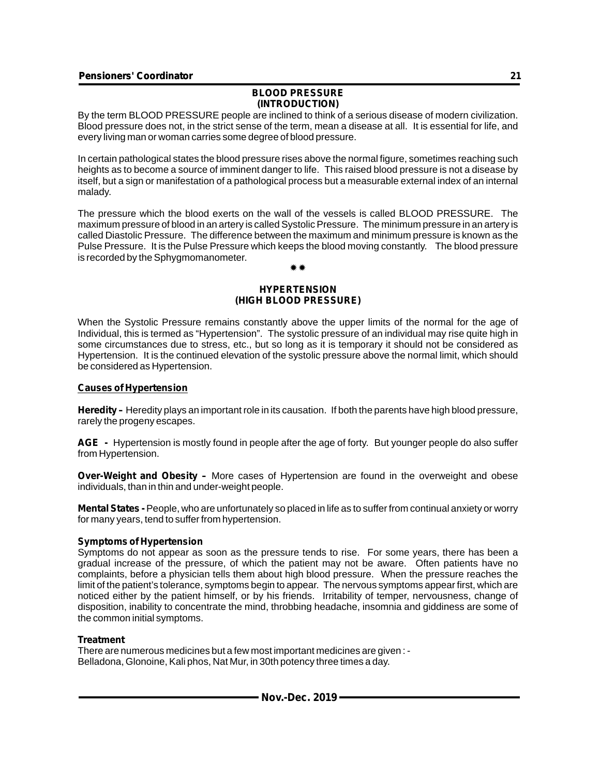#### **BLOOD PRESSURE (INTRODUCTION)**

By the term BLOOD PRESSURE people are inclined to think of a serious disease of modern civilization. Blood pressure does not, in the strict sense of the term, mean a disease at all. It is essential for life, and every living man or woman carries some degree of blood pressure.

In certain pathological states the blood pressure rises above the normal figure, sometimes reaching such heights as to become a source of imminent danger to life. This raised blood pressure is not a disease by itself, but a sign or manifestation of a pathological process but a measurable external index of an internal malady.

The pressure which the blood exerts on the wall of the vessels is called BLOOD PRESSURE. The maximum pressure of blood in an artery is called Systolic Pressure. The minimum pressure in an artery is called Diastolic Pressure. The difference between the maximum and minimum pressure is known as the Pulse Pressure. It is the Pulse Pressure which keeps the blood moving constantly. The blood pressure is recorded by the Sphygmomanometer.

### \* \* \*

#### **HYPERTENSION (HIGH BLOOD PRESSURE)**

When the Systolic Pressure remains constantly above the upper limits of the normal for the age of Individual, this is termed as "Hypertension". The systolic pressure of an individual may rise quite high in some circumstances due to stress, etc., but so long as it is temporary it should not be considered as Hypertension. It is the continued elevation of the systolic pressure above the normal limit, which should be considered as Hypertension.

#### **Causes of Hypertension**

**Heredity –** Heredity plays an important role in its causation. If both the parents have high blood pressure, rarely the progeny escapes.

**AGE -** Hypertension is mostly found in people after the age of forty. But younger people do also suffer from Hypertension.

**Over-Weight and Obesity –** More cases of Hypertension are found in the overweight and obese individuals, than in thin and under-weight people.

**Mental States -** People, who are unfortunately so placed in life as to suffer from continual anxiety or worry for many years, tend to suffer from hypertension.

#### **Symptoms of Hypertension**

Symptoms do not appear as soon as the pressure tends to rise. For some years, there has been a gradual increase of the pressure, of which the patient may not be aware. Often patients have no complaints, before a physician tells them about high blood pressure. When the pressure reaches the limit of the patient's tolerance, symptoms begin to appear. The nervous symptoms appear first, which are noticed either by the patient himself, or by his friends. Irritability of temper, nervousness, change of disposition, inability to concentrate the mind, throbbing headache, insomnia and giddiness are some of the common initial symptoms.

#### **Treatment**

There are numerous medicines but a few most important medicines are given : - Belladona, Glonoine, Kali phos, Nat Mur, in 30th potency three times a day.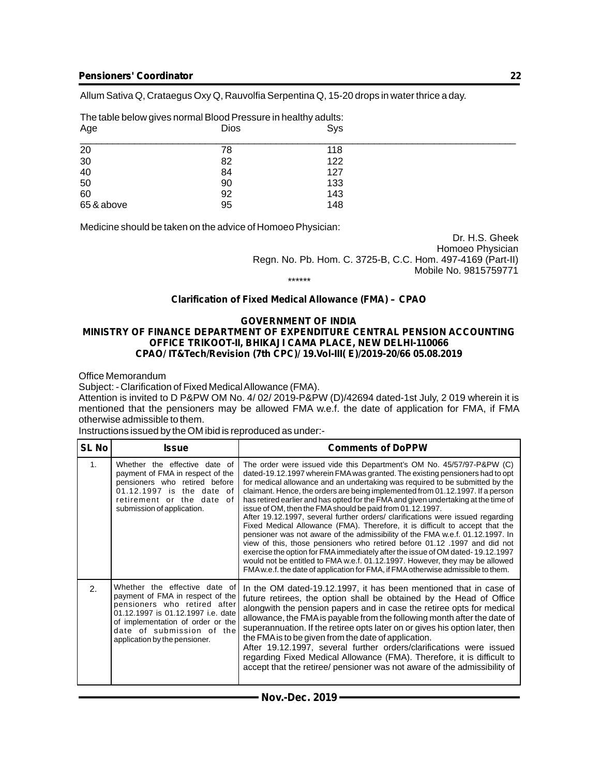Allum Sativa Q, Crataegus Oxy Q, Rauvolfia Serpentina Q, 15-20 drops in water thrice a day.

| Age        | <b>Dios</b> | Sys |  |
|------------|-------------|-----|--|
| 20         | 78          | 118 |  |
| 30         | 82          | 122 |  |
| 40         | 84          | 127 |  |
| 50         | 90          | 133 |  |
| 60         | 92          | 143 |  |
| 65 & above | 95          | 148 |  |

Medicine should be taken on the advice of Homoeo Physician:

The table below gives normal Blood Pressure in healthy adults:

Dr. H.S. Gheek Homoeo Physician Regn. No. Pb. Hom. C. 3725-B, C.C. Hom. 497-4169 (Part-II) Mobile No. 9815759771

\*\*\*\*\*\*

#### **Clarification of Fixed Medical Allowance (FMA) – CPAO**

#### **GOVERNMENT OF INDIA MINISTRY OF FINANCE DEPARTMENT OF EXPENDITURE CENTRAL PENSION ACCOUNTING OFFICE TRIKOOT-II, BHIKAJI CAMA PLACE, NEW DELHI-110066 CPAO/ IT&Tech/Revision (7th CPC)/ 19.Vol-III( E)/2019-20/66 05.08.2019**

Office Memorandum

Subject: - Clarification of Fixed Medical Allowance (FMA).

Attention is invited to D P&PW OM No. 4/ 02/ 2019-P&PW (D)/42694 dated-1st July, 2 019 wherein it is mentioned that the pensioners may be allowed FMA w.e.f. the date of application for FMA, if FMA otherwise admissible to them.

Instructions issued by the OM ibid is reproduced as under:-

| <b>SL No</b>   | <b>Issue</b>                                                                                                                                                                                                                               | <b>Comments of DoPPW</b>                                                                                                                                                                                                                                                                                                                                                                                                                                                                                                                                                                                                                                                                                                                                                                                                                                                                                                                                                                                                                                         |
|----------------|--------------------------------------------------------------------------------------------------------------------------------------------------------------------------------------------------------------------------------------------|------------------------------------------------------------------------------------------------------------------------------------------------------------------------------------------------------------------------------------------------------------------------------------------------------------------------------------------------------------------------------------------------------------------------------------------------------------------------------------------------------------------------------------------------------------------------------------------------------------------------------------------------------------------------------------------------------------------------------------------------------------------------------------------------------------------------------------------------------------------------------------------------------------------------------------------------------------------------------------------------------------------------------------------------------------------|
| 1 <sub>1</sub> | Whether the effective date of<br>payment of FMA in respect of the<br>pensioners who retired before<br>01.12.1997 is the date of<br>retirement or the date of<br>submission of application.                                                 | The order were issued vide this Department's OM No. 45/57/97-P&PW (C)<br>dated-19.12.1997 wherein FMA was granted. The existing pensioners had to opt<br>for medical allowance and an undertaking was required to be submitted by the<br>claimant. Hence, the orders are being implemented from 01.12.1997. If a person<br>has retired earlier and has opted for the FMA and given undertaking at the time of<br>issue of OM, then the FMA should be paid from 01.12.1997.<br>After 19.12.1997, several further orders/ clarifications were issued regarding<br>Fixed Medical Allowance (FMA). Therefore, it is difficult to accept that the<br>pensioner was not aware of the admissibility of the FMA w.e.f. 01.12.1997. In<br>view of this, those pensioners who retired before 01.12 .1997 and did not<br>exercise the option for FMA immediately after the issue of OM dated-19.12.1997<br>would not be entitled to FMA w.e.f. 01.12.1997. However, they may be allowed<br>FMA w.e.f. the date of application for FMA, if FMA otherwise admissible to them. |
| 2.             | Whether the effective date of<br>payment of FMA in respect of the<br>pensioners who retired after<br>01.12.1997 is 01.12.1997 i.e. date<br>of implementation of order or the<br>date of submission of the<br>application by the pensioner. | In the OM dated-19.12.1997, it has been mentioned that in case of<br>future retirees, the option shall be obtained by the Head of Office<br>alongwith the pension papers and in case the retiree opts for medical<br>allowance, the FMA is payable from the following month after the date of<br>superannuation. If the retiree opts later on or gives his option later, then<br>the FMA is to be given from the date of application.<br>After 19.12.1997, several further orders/clarifications were issued<br>regarding Fixed Medical Allowance (FMA). Therefore, it is difficult to<br>accept that the retiree/ pensioner was not aware of the admissibility of                                                                                                                                                                                                                                                                                                                                                                                               |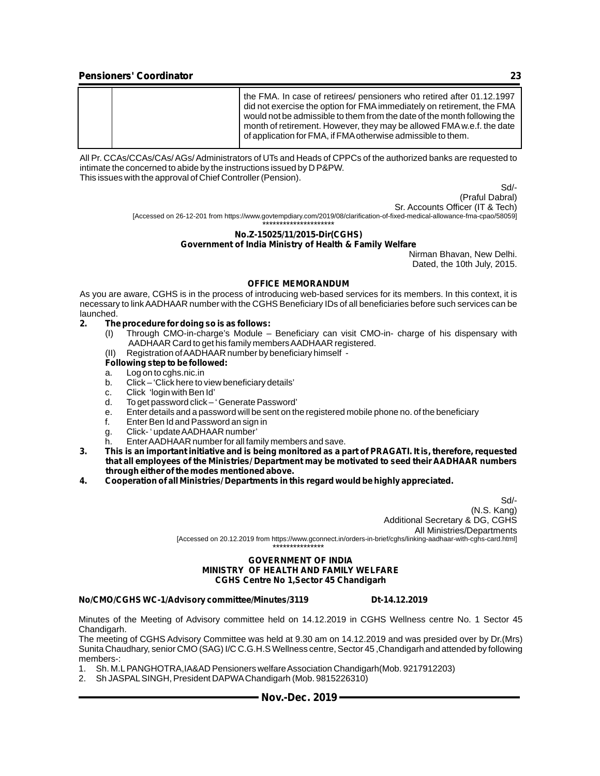|  | the FMA. In case of retirees/ pensioners who retired after 01.12.1997<br>did not exercise the option for FMA immediately on retirement, the FMA<br>would not be admissible to them from the date of the month following the<br>month of retirement. However, they may be allowed FMA w.e.f. the date<br>of application for FMA, if FMA otherwise admissible to them. |
|--|----------------------------------------------------------------------------------------------------------------------------------------------------------------------------------------------------------------------------------------------------------------------------------------------------------------------------------------------------------------------|
|--|----------------------------------------------------------------------------------------------------------------------------------------------------------------------------------------------------------------------------------------------------------------------------------------------------------------------------------------------------------------------|

All Pr. CCAs/CCAs/CAs/ AGs/ Administrators of UTs and Heads of CPPCs of the authorized banks are requested to intimate the concerned to abide by the instructions issued by D P&PW. This issues with the approval of Chief Controller (Pension).

Sd/-

(Praful Dabral) Sr. Accounts Officer (IT & Tech) [Accessed on 26-12-201 from https://www.govtempdiary.com/2019/08/clarification-of-fixed-medical-allowance-fma-cpao/58059]

#### \*\*\*\*\*\*\*\*\*\*\*\*\*\*\*\*\*\*\*\*\* **No.Z-15025/11/2015-Dir(CGHS) Government of India Ministry of Health & Family Welfare**

Nirman Bhavan, New Delhi. Dated, the 10th July, 2015.

#### **OFFICE MEMORANDUM**

As you are aware, CGHS is in the process of introducing web-based services for its members. In this context, it is necessary to link AADHAAR number with the CGHS Beneficiary IDs of all beneficiaries before such services can be launched.<br>2. The

#### **2. The procedure for doing so is as follows:**

- (I) Through CMO-in-charge's Module Beneficiary can visit CMO-in- charge of his dispensary with AADHAAR Card to get his family members AADHAAR registered.
- (II) Registration of AADHAAR number by beneficiary himself -

#### **Following step to be followed:**

- a. Log on to cghs.nic.in
- b. Click 'Click here to view beneficiary details'
- c. Click 'login with Ben Id'
- d. To get password click ' Generate Password'
- e. Enter details and a password will be sent on the registered mobile phone no. of the beneficiary
- f. Enter Ben Id and Password an sign in
- g. Click- ' update AADHAAR number'
- h. Enter AADHAAR number for all family members and save.
- **3. This is an important initiative and is being monitored as a part of PRAGATI. It is, therefore, requested that all employees of the Ministries/ Department may be motivated to seed their AADHAAR numbers through either of the modes mentioned above.**
- **4. Cooperation of all Ministries/ Departments in this regard would be highly appreciated.**

Sd/- (N.S. Kang) Additional Secretary & DG, CGHS All Ministries/Departments [Accessed on 20.12.2019 from https://www.gconnect.in/orders-in-brief/cghs/linking-aadhaar-with-cghs-card.html] \*\*\*\*\*\*\*\*\*\*\*\*\*\*\*

#### **GOVERNMENT OF INDIA MINISTRY OF HEALTH AND FAMILY WELFARE CGHS Centre No 1,Sector 45 Chandigarh**

#### **No/CMO/CGHS WC-1/Advisory committee/Minutes/3119 Dt-14.12.2019**

Minutes of the Meeting of Advisory committee held on 14.12.2019 in CGHS Wellness centre No. 1 Sector 45 Chandigarh.

The meeting of CGHS Advisory Committee was held at 9.30 am on 14.12.2019 and was presided over by Dr.(Mrs) Sunita Chaudhary, senior CMO (SAG) I/C C.G.H.S Wellness centre, Sector 45 ,Chandigarh and attended by following members-:

- 1. Sh. M.LPANGHOTRA,IA&AD Pensioners welfare Association Chandigarh(Mob. 9217912203)
- 2. Sh JASPALSINGH, President DAPWAChandigarh (Mob. 9815226310)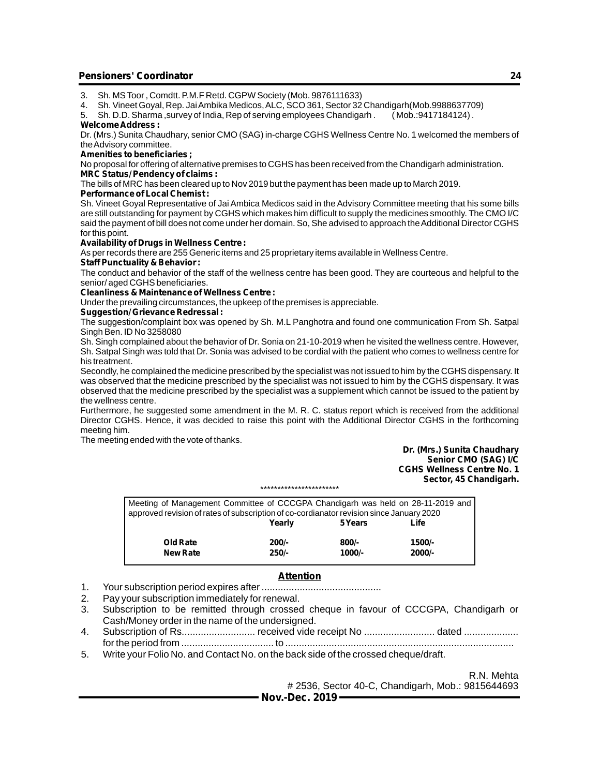- 3. Sh. MS Toor , Comdtt. P.M.F Retd. CGPW Society (Mob. 9876111633)
- 4. Sh. Vineet Goyal, Rep. Jai Ambika Medicos, ALC, SCO 361, Sector 32 Chandigarh(Mob.9988637709)
- 5. Sh. D.D. Sharma, survey of India, Rep of serving employees Chandigarh.

#### **Welcome Address :**

Dr. (Mrs.) Sunita Chaudhary, senior CMO (SAG) in-charge CGHS Wellness Centre No. 1 welcomed the members of the Advisory committee.

#### **Amenities to beneficiaries ;**

No proposal for offering of alternative premises to CGHS has been received from the Chandigarh administration. **MRC Status/ Pendency of claims :**

The bills of MRC has been cleared up to Nov 2019 but the payment has been made up to March 2019.

#### **Performance of Local Chemist :**

Sh. Vineet Goyal Representative of Jai Ambica Medicos said in the Advisory Committee meeting that his some bills are still outstanding for payment by CGHS which makes him difficult to supply the medicines smoothly. The CMO I/C said the payment of bill does not come under her domain. So, She advised to approach the Additional Director CGHS for this point.

#### **Availability of Drugs in Wellness Centre :**

As per records there are 255 Generic items and 25 proprietary items available in Wellness Centre.

#### **Staff Punctuality & Behavior :**

The conduct and behavior of the staff of the wellness centre has been good. They are courteous and helpful to the senior/ aged CGHS beneficiaries.

#### **Cleanliness & Maintenance of Wellness Centre :**

Under the prevailing circumstances, the upkeep of the premises is appreciable.

#### **Suggestion/ Grievance Redressal :**

The suggestion/complaint box was opened by Sh. M.L Panghotra and found one communication From Sh. Satpal Singh Ben. ID No 3258080

Sh. Singh complained about the behavior of Dr. Sonia on 21-10-2019 when he visited the wellness centre. However, Sh. Satpal Singh was told that Dr. Sonia was advised to be cordial with the patient who comes to wellness centre for his treatment.

Secondly, he complained the medicine prescribed by the specialist was not issued to him by the CGHS dispensary. It was observed that the medicine prescribed by the specialist was not issued to him by the CGHS dispensary. It was observed that the medicine prescribed by the specialist was a supplement which cannot be issued to the patient by the wellness centre.

Furthermore, he suggested some amendment in the M. R. C. status report which is received from the additional Director CGHS. Hence, it was decided to raise this point with the Additional Director CGHS in the forthcoming meeting him.

The meeting ended with the vote of thanks.

#### **Dr. (Mrs.) Sunita Chaudhary Senior CMO (SAG) I/C CGHS Wellness Centre No. 1 Sector, 45 Chandigarh.**

\*\*\*\*\*\*\*\*\*\*\*\*\*\*\*\*\*\*\*\*\*\*\*

| Meeting of Management Committee of CCCGPA Chandigarh was held on 28-11-2019 and          |  |  |  |  |  |  |  |  |  |  |  |
|------------------------------------------------------------------------------------------|--|--|--|--|--|--|--|--|--|--|--|
| approved revision of rates of subscription of co-cordianator revision since January 2020 |  |  |  |  |  |  |  |  |  |  |  |
|                                                                                          |  |  |  |  |  |  |  |  |  |  |  |
|                                                                                          |  |  |  |  |  |  |  |  |  |  |  |
|                                                                                          |  |  |  |  |  |  |  |  |  |  |  |
|                                                                                          |  |  |  |  |  |  |  |  |  |  |  |
|                                                                                          |  |  |  |  |  |  |  |  |  |  |  |

#### **Attention**

- 1. Your subscription period expires after ............................................
- 2. Pay your subscription immediately for renewal.
- 3. Subscription to be remitted through crossed cheque in favour of CCCGPA, Chandigarh or Cash/Money order in the name of the undersigned.
- 4. Subscription of Rs........................... received vide receipt No .......................... dated .................... for the period from .................................. to ....................................................................................
- 5. Write your Folio No. and Contact No. on the back side of the crossed cheque/draft.

R.N. Mehta # 2536, Sector 40-C, Chandigarh, Mob.: 9815644693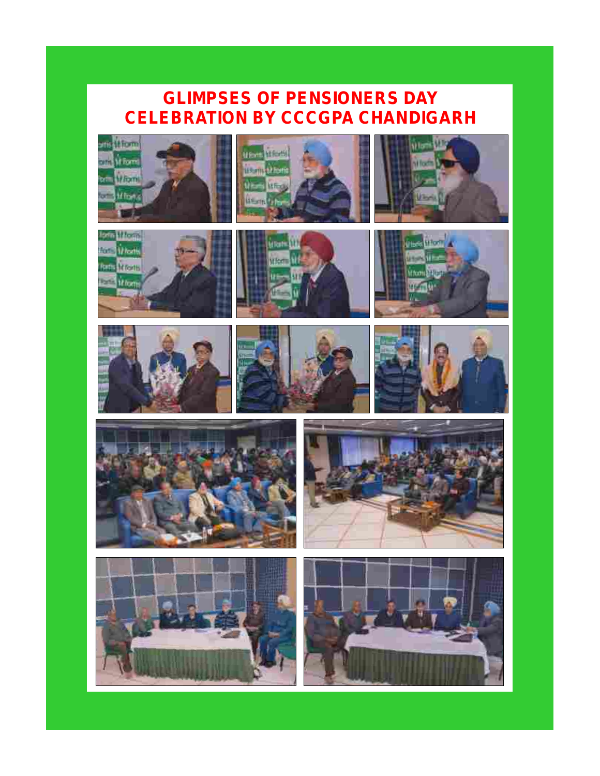## **GLIMPSES OF PENSIONERS DAY CELEBRATION BY CCCGPA CHANDIGARH**

**UE-HE LIFERNI** 

**HE-VIS STOR** 

**MFind** 

 $\hat{u}$ 









iller **LE** 

**Alberta**